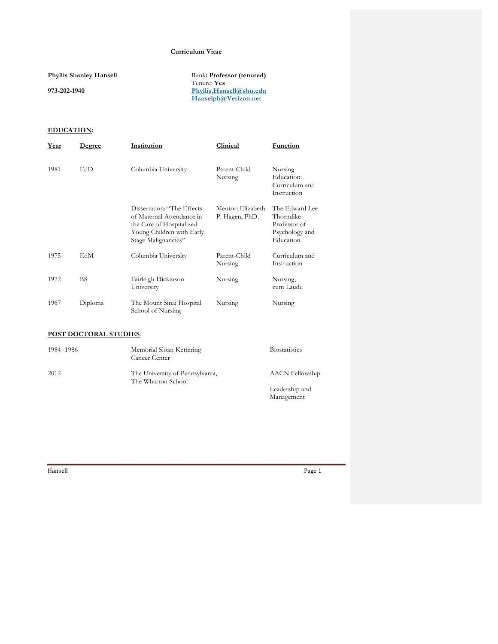### **Curriculum Vitae**

**Phyllis Shanley Hansell**

**973-202-1940**

Rank**: Professor (tenured)** Tenure: **Yes Phyllis.Hansell@shu.edu Hanselph@Verizon.net**

## **EDUCATION:**

| Year | Degree    | Institution                                                                                                                             | Clinical                            | Function                                                                   |
|------|-----------|-----------------------------------------------------------------------------------------------------------------------------------------|-------------------------------------|----------------------------------------------------------------------------|
| 1981 | EdD       | Columbia University                                                                                                                     | Parent-Child<br>Nursing             | Nursing<br>Education:<br>Curriculum and<br>Instruction                     |
|      |           | Dissertation: "The Effects<br>of Maternal Attendance in<br>the Care of Hospitalized<br>Young Children with Early<br>Stage Malignancies" | Mentor: Elizabeth<br>P. Hagen, PhD. | The Edward Lee<br>Thorndike<br>Professor of<br>Psychology and<br>Education |
| 1975 | EdM       | Columbia University                                                                                                                     | Parent-Child<br>Nursing             | Curriculum and<br>Instruction                                              |
| 1972 | <b>BS</b> | Fairleigh Dickinson<br>University                                                                                                       | Nursing                             | Nursing,<br>cum Laude                                                      |
| 1967 | Diploma   | The Mount Sinai Hospital<br>School of Nursing                                                                                           | Nursing                             | Nursing                                                                    |

### **POST DOCTORAL STUDIES**:

| 1984 - 1986 | Memorial Sloan Kettering<br>Cancer Center             | <b>Biostatistics</b>   |
|-------------|-------------------------------------------------------|------------------------|
| 2012        | The University of Pennsylvania,<br>The Wharton School | <b>AACN</b> Fellowship |
|             |                                                       | Leadership and         |
|             |                                                       | Management             |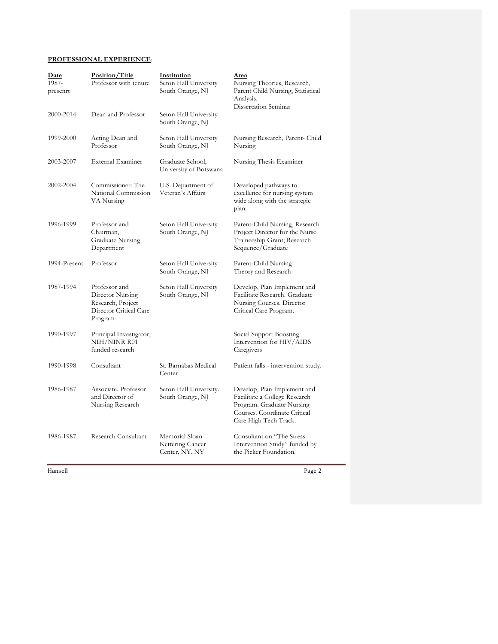## **PROFESSIONAL EXPERIENCE**:

| Date<br>1987-<br>presenrt | Position/Title<br>Professor with tenure                                                     | Institution<br>Seton Hall University<br>South Orange, NJ | Area<br>Nursing Theories, Research,<br>Parent Child Nursing, Statistical<br>Analysis.<br>Dissertation Seminar                                      |
|---------------------------|---------------------------------------------------------------------------------------------|----------------------------------------------------------|----------------------------------------------------------------------------------------------------------------------------------------------------|
| 2000-2014                 | Dean and Professor                                                                          | Seton Hall University<br>South Orange, NJ                |                                                                                                                                                    |
| 1999-2000                 | Acting Dean and<br>Professor                                                                | Seton Hall University<br>South Orange, NJ                | Nursing Research, Parent- Child<br>Nursing                                                                                                         |
| 2003-2007                 | <b>External Examiner</b>                                                                    | Graduate School,<br>University of Botswana               | Nursing Thesis Examiner                                                                                                                            |
| 2002-2004                 | Commissioner: The<br>National Commission<br>VA Nursing                                      | U.S. Department of<br>Veteran's Affairs                  | Developed pathways to<br>excellence for nursing system<br>wide along with the strategic<br>plan.                                                   |
| 1996-1999                 | Professor and<br>Chairman,<br><b>Graduate Nursing</b><br>Department                         | Seton Hall University<br>South Orange, NJ                | Parent-Child Nursing, Research<br>Project Director for the Nurse<br>Traineeship Grant; Research<br>Sequence/Graduate                               |
| 1994-Present              | Professor                                                                                   | Seton Hall University<br>South Orange, NJ                | Parent-Child Nursing<br>Theory and Research                                                                                                        |
| 1987-1994                 | Professor and<br>Director Nursing<br>Research, Project<br>Director Critical Care<br>Program | Seton Hall University<br>South Orange, NJ                | Develop, Plan Implement and<br>Facilitate Research. Graduate<br>Nursing Courses. Director<br>Critical Care Program.                                |
| 1990-1997                 | Principal Investigator,<br>NIH/NINR R01<br>funded research                                  |                                                          | Social Support Boosting<br>Intervention for HIV/AIDS<br>Caregivers                                                                                 |
| 1990-1998                 | Consultant                                                                                  | St. Barnabas Medical<br>Center                           | Patient falls - intervention study.                                                                                                                |
| 1986-1987                 | Associate. Professor<br>and Director of<br>Nursing Research                                 | Seton Hall University.<br>South Orange, NJ               | Develop, Plan Implement and<br>Facilitate a College Research<br>Program. Graduate Nursing<br>Courses. Coordinate Critical<br>Care High Tech Track. |
| 1986-1987                 | Research Consultant                                                                         | Memorial Sloan<br>Kettering Cancer<br>Center, NY, NY     | Consultant on "The Stress<br>Intervention Study" funded by<br>the Picker Foundation.                                                               |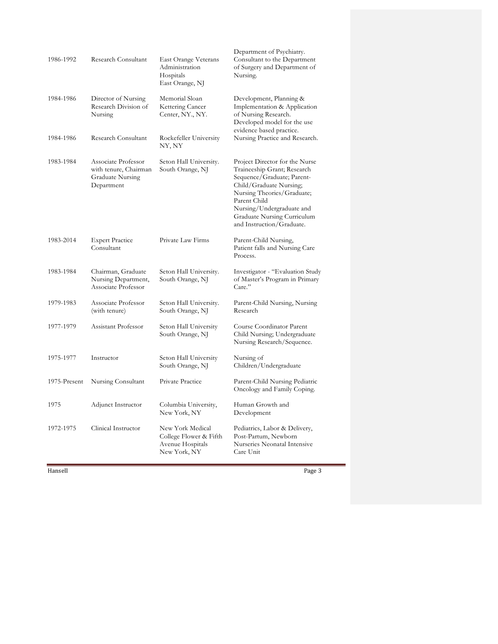| 1986-1992    | Research Consultant                                                            | East Orange Veterans<br>Administration<br>Hospitals<br>East Orange, NJ         | Department of Psychiatry.<br>Consultant to the Department<br>of Surgery and Department of<br>Nursing.                                                                                                                                                         |
|--------------|--------------------------------------------------------------------------------|--------------------------------------------------------------------------------|---------------------------------------------------------------------------------------------------------------------------------------------------------------------------------------------------------------------------------------------------------------|
| 1984-1986    | Director of Nursing<br>Research Division of<br>Nursing                         | Memorial Sloan<br>Kettering Cancer<br>Center, NY., NY.                         | Development, Planning &<br>Implementation & Application<br>of Nursing Research.<br>Developed model for the use<br>evidence based practice.                                                                                                                    |
| 1984-1986    | Research Consultant                                                            | Rockefeller University<br>NY, NY                                               | Nursing Practice and Research.                                                                                                                                                                                                                                |
| 1983-1984    | Associate Professor<br>with tenure, Chairman<br>Graduate Nursing<br>Department | Seton Hall University.<br>South Orange, NJ                                     | Project Director for the Nurse<br>Traineeship Grant; Research<br>Sequence/Graduate; Parent-<br>Child/Graduate Nursing;<br>Nursing Theories/Graduate;<br>Parent Child<br>Nursing/Undergraduate and<br>Graduate Nursing Curriculum<br>and Instruction/Graduate. |
| 1983-2014    | <b>Expert Practice</b><br>Consultant                                           | Private Law Firms                                                              | Parent-Child Nursing,<br>Patient falls and Nursing Care<br>Process.                                                                                                                                                                                           |
| 1983-1984    | Chairman, Graduate<br>Nursing Department,<br>Associate Professor               | Seton Hall University.<br>South Orange, NJ                                     | Investigator - "Evaluation Study<br>of Master's Program in Primary<br>Care."                                                                                                                                                                                  |
| 1979-1983    | Associate Professor<br>(with tenure)                                           | Seton Hall University.<br>South Orange, NJ                                     | Parent-Child Nursing, Nursing<br>Research                                                                                                                                                                                                                     |
| 1977-1979    | Assistant Professor                                                            | Seton Hall University<br>South Orange, NJ                                      | Course Coordinator Parent<br>Child Nursing; Undergraduate<br>Nursing Research/Sequence.                                                                                                                                                                       |
| 1975-1977    | Instructor                                                                     | Seton Hall University<br>South Orange, NJ                                      | Nursing of<br>Children/Undergraduate                                                                                                                                                                                                                          |
| 1975-Present | Nursing Consultant                                                             | Private Practice                                                               | Parent-Child Nursing Pediatric<br>Oncology and Family Coping.                                                                                                                                                                                                 |
| 1975         | Adjunct Instructor                                                             | Columbia University,<br>New York, NY                                           | Human Growth and<br>Development                                                                                                                                                                                                                               |
| 1972-1975    | Clinical Instructor                                                            | New York Medical<br>College Flower & Fifth<br>Avenue Hospitals<br>New York, NY | Pediatrics, Labor & Delivery,<br>Post-Partum, Newborn<br>Nurseries Neonatal Intensive<br>Care Unit                                                                                                                                                            |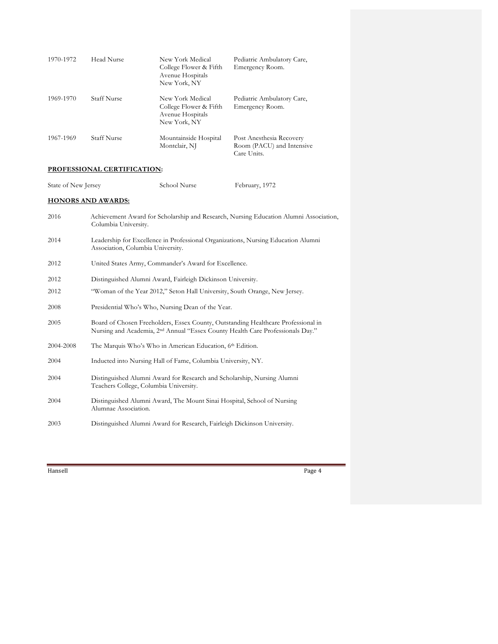| 1970-1972 | Head Nurse         | New York Medical<br>College Flower & Fifth<br>Avenue Hospitals<br>New York, NY | Pediatric Ambulatory Care,<br>Emergency Room.                        |
|-----------|--------------------|--------------------------------------------------------------------------------|----------------------------------------------------------------------|
| 1969-1970 | <b>Staff Nurse</b> | New York Medical<br>College Flower & Fifth<br>Avenue Hospitals<br>New York, NY | Pediatric Ambulatory Care,<br>Emergency Room.                        |
| 1967-1969 | <b>Staff Nurse</b> | Mountainside Hospital<br>Montclair, NJ                                         | Post Anesthesia Recovery<br>Room (PACU) and Intensive<br>Care Units. |

## **PROFESSIONAL CERTIFICATION:**

| State of New Jersey | School Nurse | February, 1972 |
|---------------------|--------------|----------------|
|---------------------|--------------|----------------|

# **HONORS AND AWARDS:**

| 2016      | Achievement Award for Scholarship and Research, Nursing Education Alumni Association,<br>Columbia University.                                                                   |
|-----------|---------------------------------------------------------------------------------------------------------------------------------------------------------------------------------|
| 2014      | Leadership for Excellence in Professional Organizations, Nursing Education Alumni<br>Association, Columbia University.                                                          |
| 2012      | United States Army, Commander's Award for Excellence.                                                                                                                           |
| 2012      | Distinguished Alumni Award, Fairleigh Dickinson University.                                                                                                                     |
| 2012      | "Woman of the Year 2012," Seton Hall University, South Orange, New Jersey.                                                                                                      |
| 2008      | Presidential Who's Who, Nursing Dean of the Year.                                                                                                                               |
| 2005      | Board of Chosen Freeholders, Essex County, Outstanding Healthcare Professional in<br>Nursing and Academia, 2 <sup>nd</sup> Annual "Essex County Health Care Professionals Day." |
| 2004-2008 | The Marquis Who's Who in American Education, 6th Edition.                                                                                                                       |
| 2004      | Inducted into Nursing Hall of Fame, Columbia University, NY.                                                                                                                    |
| 2004      | Distinguished Alumni Award for Research and Scholarship, Nursing Alumni<br>Teachers College, Columbia University.                                                               |
| 2004      | Distinguished Alumni Award, The Mount Sinai Hospital, School of Nursing<br>Alumnae Association.                                                                                 |
| 2003      | Distinguished Alumni Award for Research, Fairleigh Dickinson University.                                                                                                        |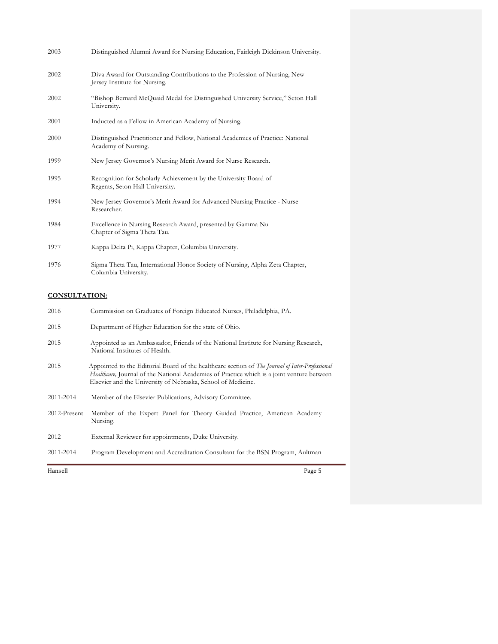| 2003 | Distinguished Alumni Award for Nursing Education, Fairleigh Dickinson University.                           |
|------|-------------------------------------------------------------------------------------------------------------|
| 2002 | Diva Award for Outstanding Contributions to the Profession of Nursing, New<br>Jersey Institute for Nursing. |
| 2002 | "Bishop Bernard McQuaid Medal for Distinguished University Service," Seton Hall<br>University.              |
| 2001 | Inducted as a Fellow in American Academy of Nursing.                                                        |
| 2000 | Distinguished Practitioner and Fellow, National Academies of Practice: National<br>Academy of Nursing.      |
| 1999 | New Jersey Governor's Nursing Merit Award for Nurse Research.                                               |
| 1995 | Recognition for Scholarly Achievement by the University Board of<br>Regents, Seton Hall University.         |
| 1994 | New Jersey Governor's Ment Award for Advanced Nursing Practice - Nurse<br>Researcher.                       |
| 1984 | Excellence in Nursing Research Award, presented by Gamma Nu<br>Chapter of Sigma Theta Tau.                  |
| 1977 | Kappa Delta Pi, Kappa Chapter, Columbia University.                                                         |
| 1976 | Sigma Theta Tau, International Honor Society of Nursing, Alpha Zeta Chapter,<br>Columbia University.        |

## **CONSULTATION:**

| 2016         | Commission on Graduates of Foreign Educated Nurses, Philadelphia, PA.                                                                                                                                                                                         |
|--------------|---------------------------------------------------------------------------------------------------------------------------------------------------------------------------------------------------------------------------------------------------------------|
| 2015         | Department of Higher Education for the state of Ohio.                                                                                                                                                                                                         |
| 2015         | Appointed as an Ambassador, Friends of the National Institute for Nursing Research,<br>National Institutes of Health.                                                                                                                                         |
| 2015         | Appointed to the Editorial Board of the healthcare section of The Journal of Inter-Professional<br>Healthcare, Journal of the National Academies of Practice which is a joint venture between<br>Elsevier and the University of Nebraska, School of Medicine. |
| 2011-2014    | Member of the Elsevier Publications, Advisory Committee.                                                                                                                                                                                                      |
| 2012-Present | Member of the Expert Panel for Theory Guided Practice, American Academy<br>Nursing.                                                                                                                                                                           |
| 2012         | External Reviewer for appointments, Duke University.                                                                                                                                                                                                          |
| 2011-2014    | Program Development and Accreditation Consultant for the BSN Program, Aultman                                                                                                                                                                                 |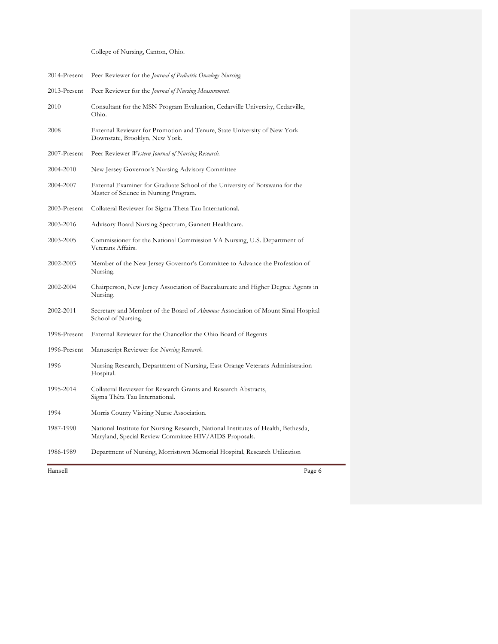College of Nursing, Canton, Ohio.

| 2014-Present | Peer Reviewer for the Journal of Pediatric Oncology Nursing.                                                                                |
|--------------|---------------------------------------------------------------------------------------------------------------------------------------------|
| 2013-Present | Peer Reviewer for the <i>Journal of Nursing Measurement</i> .                                                                               |
| 2010         | Consultant for the MSN Program Evaluation, Cedarville University, Cedarville,<br>Ohio.                                                      |
| 2008         | External Reviewer for Promotion and Tenure, State University of New York<br>Downstate, Brooklyn, New York.                                  |
| 2007-Present | Peer Reviewer Western Journal of Nursing Research.                                                                                          |
| 2004-2010    | New Jersey Governor's Nursing Advisory Committee                                                                                            |
| 2004-2007    | External Examiner for Graduate School of the University of Botswana for the<br>Master of Science in Nursing Program.                        |
| 2003-Present | Collateral Reviewer for Sigma Theta Tau International.                                                                                      |
| 2003-2016    | Advisory Board Nursing Spectrum, Gannett Healthcare.                                                                                        |
| 2003-2005    | Commissioner for the National Commission VA Nursing, U.S. Department of<br>Veterans Affairs.                                                |
| 2002-2003    | Member of the New Jersey Governor's Committee to Advance the Profession of<br>Nursing.                                                      |
| 2002-2004    | Chairperson, New Jersey Association of Baccalaureate and Higher Degree Agents in<br>Nursing.                                                |
| 2002-2011    | Secretary and Member of the Board of <i>Alumnae</i> Association of Mount Sinai Hospital<br>School of Nursing.                               |
| 1998-Present | External Reviewer for the Chancellor the Ohio Board of Regents                                                                              |
| 1996-Present | Manuscript Reviewer for Nursing Research.                                                                                                   |
| 1996         | Nursing Research, Department of Nursing, East Orange Veterans Administration<br>Hospital.                                                   |
| 1995-2014    | Collateral Reviewer for Research Grants and Research Abstracts,<br>Sigma Thêta Tau International.                                           |
| 1994         | Morris County Visiting Nurse Association.                                                                                                   |
| 1987-1990    | National Institute for Nursing Research, National Institutes of Health, Bethesda,<br>Maryland, Special Review Committee HIV/AIDS Proposals. |
| 1986-1989    | Department of Nursing, Morristown Memorial Hospital, Research Utilization                                                                   |
| Hansell      | Page 6                                                                                                                                      |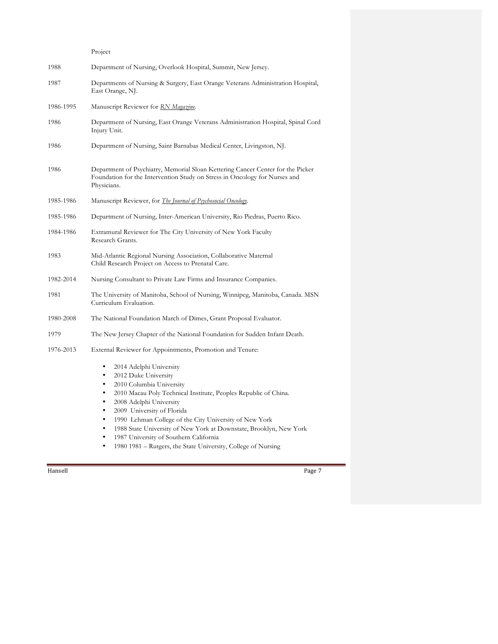Project

| 1988      | Department of Nursing, Overlook Hospital, Summit, New Jersey.                                                                                                                                                                                                                                                                                                                                           |  |
|-----------|---------------------------------------------------------------------------------------------------------------------------------------------------------------------------------------------------------------------------------------------------------------------------------------------------------------------------------------------------------------------------------------------------------|--|
| 1987      | Departments of Nursing & Surgery, East Orange Veterans Administration Hospital,<br>East Orange, NJ.                                                                                                                                                                                                                                                                                                     |  |
| 1986-1995 | Manuscript Reviewer for RN Magazine.                                                                                                                                                                                                                                                                                                                                                                    |  |
| 1986      | Department of Nursing, East Orange Veterans Administration Hospital, Spinal Cord<br>Injury Unit.                                                                                                                                                                                                                                                                                                        |  |
| 1986      | Department of Nursing, Saint Barnabas Medical Center, Livingston, NJ.                                                                                                                                                                                                                                                                                                                                   |  |
| 1986      | Department of Psychiatry, Memorial Sloan Kettering Cancer Center for the Picker<br>Foundation for the Intervention Study on Stress in Oncology for Nurses and<br>Physicians.                                                                                                                                                                                                                            |  |
| 1985-1986 | Manuscript Reviewer, for The Journal of Psychosocial Oncology.                                                                                                                                                                                                                                                                                                                                          |  |
| 1985-1986 | Department of Nursing, Inter-American University, Rio Piedras, Puerto Rico.                                                                                                                                                                                                                                                                                                                             |  |
| 1984-1986 | Extramural Reviewer for The City University of New York Faculty<br>Research Grants.                                                                                                                                                                                                                                                                                                                     |  |
| 1983      | Mid-Atlantic Regional Nursing Association, Collaborative Maternal<br>Child Research Project on Access to Prenatal Care.                                                                                                                                                                                                                                                                                 |  |
| 1982-2014 | Nursing Consultant to Private Law Firms and Insurance Companies.                                                                                                                                                                                                                                                                                                                                        |  |
| 1981      | The University of Manitoba, School of Nursing, Winnipeg, Manitoba, Canada. MSN<br>Curriculum Evaluation.                                                                                                                                                                                                                                                                                                |  |
| 1980-2008 | The National Foundation March of Dimes, Grant Proposal Evaluator.                                                                                                                                                                                                                                                                                                                                       |  |
| 1979      | The New Jersey Chapter of the National Foundation for Sudden Infant Death.                                                                                                                                                                                                                                                                                                                              |  |
| 1976-2013 | External Reviewer for Appointments, Promotion and Tenure:                                                                                                                                                                                                                                                                                                                                               |  |
|           | 2014 Adelphi University<br>٠<br>2012 Duke University<br>٠<br>2010 Columbia University<br>٠<br>2010 Macau Poly Technical Institute, Peoples Republic of China.<br>٠<br>2008 Adelphi University<br>٠<br>2009 University of Florida<br>٠<br>1990 Lehman College of the City University of New York<br>٠<br>1988 State University of New York at Downstate, Brooklyn, New York<br>٠<br>$\sim$ $\sim$ $\sim$ |  |

• 1987 University of Southern California<br>• 1980 1981 – Rutgers, the State University • 1980 1981 – Rutgers, the State University, College of Nursing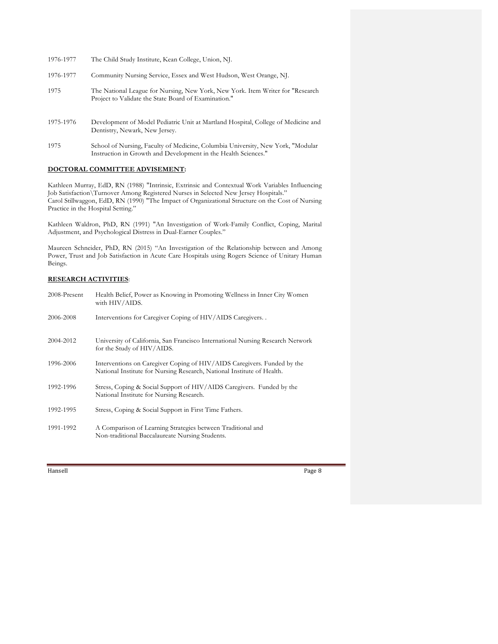| 1976-1977 | The Child Study Institute, Kean College, Union, NJ.                                                                                     |
|-----------|-----------------------------------------------------------------------------------------------------------------------------------------|
| 1976-1977 | Community Nursing Service, Essex and West Hudson, West Orange, NJ.                                                                      |
| 1975      | The National League for Nursing, New York, New York. Item Writer for "Research"<br>Project to Validate the State Board of Examination." |
| 1975-1976 | Development of Model Pediatric Unit at Martland Hospital, College of Medicine and<br>Dentistry, Newark, New Jersey.                     |
|           |                                                                                                                                         |

1975 School of Nursing, Faculty of Medicine, Columbia University, New York, "Modular Instruction in Growth and Development in the Health Sciences."

### **DOCTORAL COMMITTEE ADVISEMENT:**

Kathleen Murray, EdD, RN (1988) "Intrinsic, Extrinsic and Contextual Work Variables Influencing Job Satisfaction\Turnover Among Registered Nurses in Selected New Jersey Hospitals." Carol Stillwaggon, EdD, RN (1990) "The Impact of Organizational Structure on the Cost of Nursing Practice in the Hospital Setting."

Kathleen Waldron, PhD, RN (1991) "An Investigation of Work-Family Conflict, Coping, Marital Adjustment, and Psychological Distress in Dual-Earner Couples."

Maureen Schneider, PhD, RN (2015) "An Investigation of the Relationship between and Among Power, Trust and Job Satisfaction in Acute Care Hospitals using Rogers Science of Unitary Human Beings.

### **RESEARCH ACTIVITIES**:

| 2008-Present | Health Belief, Power as Knowing in Promoting Wellness in Inner City Women<br>with HIV/AIDS.                                                       |
|--------------|---------------------------------------------------------------------------------------------------------------------------------------------------|
| 2006-2008    | Interventions for Caregiver Coping of HIV/AIDS Caregivers                                                                                         |
| 2004-2012    | University of California, San Francisco International Nursing Research Network<br>for the Study of HIV/AIDS.                                      |
| 1996-2006    | Interventions on Caregiver Coping of HIV/AIDS Caregivers. Funded by the<br>National Institute for Nursing Research, National Institute of Health. |
| 1992-1996    | Stress, Coping & Social Support of HIV/AIDS Caregivers. Funded by the<br>National Institute for Nursing Research.                                 |
| 1992-1995    | Stress, Coping & Social Support in First Time Fathers.                                                                                            |
| 1991-1992    | A Comparison of Learning Strategies between Traditional and<br>Non-traditional Baccalaureate Nursing Students.                                    |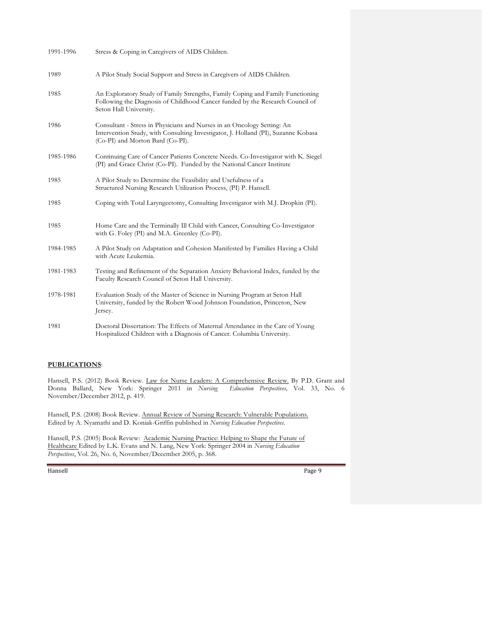| 1991-1996 | Stress & Coping in Caregivers of AIDS Children.                                                                                                                                                  |
|-----------|--------------------------------------------------------------------------------------------------------------------------------------------------------------------------------------------------|
| 1989      | A Pilot Study Social Support and Stress in Caregivers of AIDS Children.                                                                                                                          |
| 1985      | An Exploratory Study of Family Strengths, Family Coping and Family Functioning<br>Following the Diagnosis of Childhood Cancer funded by the Research Council of<br>Seton Hall University.        |
| 1986      | Consultant - Stress in Physicians and Nurses in an Oncology Setting: An<br>Intervention Study, with Consulting Investigator, J. Holland (PI), Suzanne Kobasa<br>(Co-PI) and Morton Bard (Co-PI). |
| 1985-1986 | Continuing Care of Cancer Patients Concrete Needs. Co-Investigator with K. Siegel<br>(PI) and Grace Christ (Co-PI). Funded by the National Cancer Institute                                      |
| 1985      | A Pilot Study to Determine the Feasibility and Usefulness of a<br>Structured Nursing Research Utilization Process, (PI) P. Hansell.                                                              |
| 1985      | Coping with Total Laryngectomy, Consulting Investigator with M.J. Dropkin (PI).                                                                                                                  |
| 1985      | Home Care and the Terminally Ill Child with Cancer, Consulting Co-Investigator<br>with G. Foley (PI) and M.A. Greenley (Co-PI).                                                                  |
| 1984-1985 | A Pilot Study on Adaptation and Cohesion Manifested by Families Having a Child<br>with Acute Leukemia.                                                                                           |
| 1981-1983 | Testing and Refinement of the Separation Anxiety Behavioral Index, funded by the<br>Faculty Research Council of Seton Hall University.                                                           |
| 1978-1981 | Evaluation Study of the Master of Science in Nursing Program at Seton Hall<br>University, funded by the Robert Wood Johnson Foundation, Princeton, New<br>Jersey.                                |
| 1981      | Doctoral Dissertation: The Effects of Maternal Attendance in the Care of Young<br>Hospitalized Children with a Diagnosis of Cancer. Columbia University.                                         |

### **PUBLICATIONS**:

Hansell, P.S. (2012) Book Review. Law for Nurse Leaders: A Comprehensive Review. By P.D. Grant and Donna Ballard, New York: Springer 2011 in *Nursing Education Perspectives,* Vol. 33, No. 6 November/December 2012, p. 419.

Hansell, P.S. (2008) Book Review. Annual Review of Nursing Research: Vulnerable Populations. Edited by A. Nyamathi and D. Koniak-Griffin published in *Nursing Education Perspectives*.

Hansell, P.S. (2005) Book Review: Academic Nursing Practice: Helping to Shape the Future of Healthcare Edited by L.K. Evans and N. Lang, New York: Springer 2004 in *Nursing Education Perspectives*, Vol. 26, No. 6, November/December 2005, p. 368.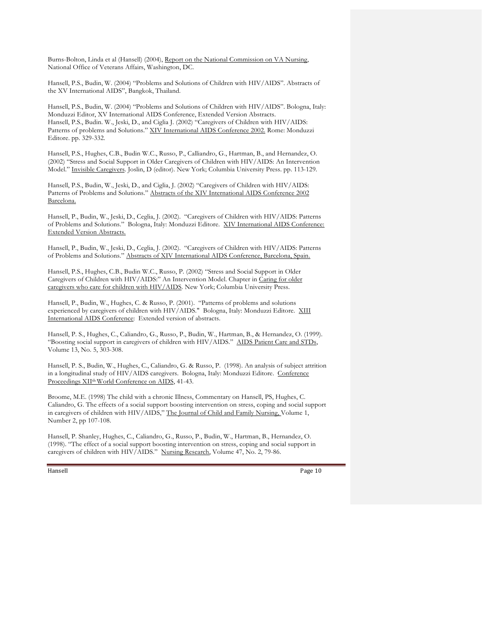Burns-Bolton, Linda et al (Hansell) (2004), Report on the National Commission on VA Nursing, National Office of Veterans Affairs, Washington, DC.

Hansell, P.S., Budin, W. (2004) "Problems and Solutions of Children with HIV/AIDS". Abstracts of the XV International AIDS", Bangkok, Thailand.

Hansell, P.S., Budin, W. (2004) "Problems and Solutions of Children with HIV/AIDS". Bologna, Italy: Monduzzi Editor, XV International AIDS Conference, Extended Version Abstracts. Hansell, P.S., Budin. W., Jeski, D., and Ciglia J. (2002) "Caregivers of Children with HIV/AIDS: Patterns of problems and Solutions." XIV International AIDS Conference 2002. Rome: Monduzzi Editore. pp. 329-332.

Hansell, P.S., Hughes, C.B., Budin W.C., Russo, P., Calliandro, G., Hartman, B., and Hernandez, O. (2002) "Stress and Social Support in Older Caregivers of Children with HIV/AIDS: An Intervention Model." Invisible Caregivers. Joslin, D (editor). New York; Columbia University Press. pp. 113-129.

Hansell, P.S., Budin, W., Jeski, D., and Ciglia, J. (2002) "Caregivers of Children with HIV/AIDS: Patterns of Problems and Solutions." Abstracts of the XIV International AIDS Conference 2002 Barcelona.

Hansell, P., Budin, W., Jeski, D., Ceglia, J. (2002). "Caregivers of Children with HIV/AIDS: Patterns of Problems and Solutions." Bologna, Italy: Monduzzi Editore. XIV International AIDS Conference: Extended Version Abstracts.

Hansell, P., Budin, W., Jeski, D., Ceglia, J. (2002). "Caregivers of Children with HIV/AIDS: Patterns of Problems and Solutions." Abstracts of XIV International AIDS Conference, Barcelona, Spain.

Hansell, P.S., Hughes, C.B., Budin W.C., Russo, P. (2002) "Stress and Social Support in Older Caregivers of Children with HIV/AIDS:" An Intervention Model. Chapter in Caring for older caregivers who care for children with HIV/AIDS. New York; Columbia University Press.

Hansell, P., Budin, W., Hughes, C. & Russo, P. (2001). "Patterns of problems and solutions experienced by caregivers of children with HIV/AIDS." Bologna, Italy: Monduzzi Editore. XIII International AIDS Conference: Extended version of abstracts.

Hansell, P. S., Hughes, C., Caliandro, G., Russo, P., Budin, W., Hartman, B., & Hernandez, O. (1999). "Boosting social support in caregivers of children with HIV/AIDS." AIDS Patient Care and STDs, Volume 13, No. 5, 303-308.

Hansell, P. S., Budin, W., Hughes, C., Caliandro, G. & Russo, P. (1998). An analysis of subject attrition in a longitudinal study of HIV/AIDS caregivers. Bologna, Italy: Monduzzi Editore. Conference Proceedings XII<sup>th</sup> World Conference on AIDS, 41-43.

Broome, M.E. (1998) The child with a chronic Illness, Commentary on Hansell, PS, Hughes, C. Caliandro, G. The effects of a social support boosting intervention on stress, coping and social support in caregivers of children with HIV/AIDS," The Journal of Child and Family Nursing, Volume 1, Number 2, pp 107-108.

Hansell, P. Shanley, Hughes, C., Caliandro, G., Russo, P., Budin, W., Hartman, B., Hernandez, O. (1998). "The effect of a social support boosting intervention on stress, coping and social support in caregivers of children with HIV/AIDS." Nursing Research, Volume 47, No. 2, 79-86.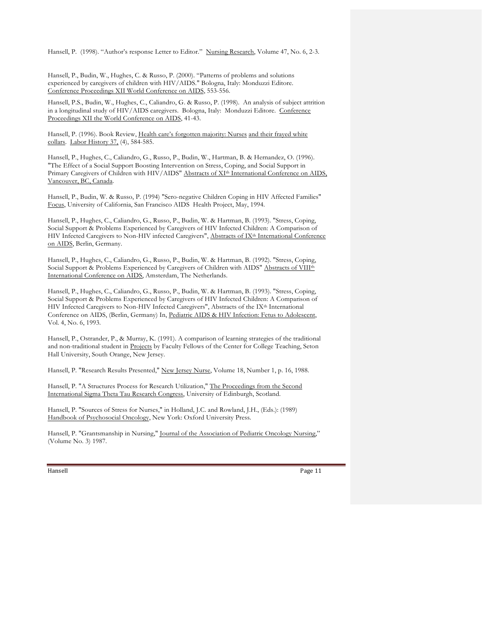Hansell, P. (1998). "Author's response Letter to Editor." Nursing Research, Volume 47, No. 6, 2-3.

Hansell, P., Budin, W., Hughes, C. & Russo, P. (2000). "Patterns of problems and solutions experienced by caregivers of children with HIV/AIDS." Bologna, Italy: Monduzzi Editore. Conference Proceedings XII World Conference on AIDS, 553-556.

Hansell, P.S., Budin, W., Hughes, C., Caliandro, G. & Russo, P. (1998). An analysis of subject attrition in a longitudinal study of HIV/AIDS caregivers. Bologna, Italy: Monduzzi Editore. Conference Proceedings XII the World Conference on AIDS, 41-43.

Hansell, P. (1996). Book Review, Health care's forgotten majority: Nurses and their frayed white collars. Labor History 37, (4), 584-585.

Hansell, P., Hughes, C., Caliandro, G., Russo, P., Budin, W., Hartman, B. & Hernandez, O. (1996). "The Effect of a Social Support Boosting Intervention on Stress, Coping, and Social Support in Primary Caregivers of Children with HIV/AIDS" Abstracts of XI<sup>th</sup> International Conference on AIDS, Vancouver, BC, Canada.

Hansell, P., Budin, W. & Russo, P. (1994) "Sero-negative Children Coping in HIV Affected Families" Focus, University of California, San Francisco AIDS Health Project, May, 1994.

Hansell, P., Hughes, C., Caliandro, G., Russo, P., Budin, W. & Hartman, B. (1993). "Stress, Coping, Social Support & Problems Experienced by Caregivers of HIV Infected Children: A Comparison of HIV Infected Caregivers to Non-HIV infected Caregivers", Abstracts of IX<sup>th</sup> International Conference on AIDS, Berlin, Germany.

Hansell, P., Hughes, C., Caliandro, G., Russo, P., Budin, W. & Hartman, B. (1992). "Stress, Coping, Social Support & Problems Experienced by Caregivers of Children with AIDS" Abstracts of VIIIth International Conference on AIDS, Amsterdam, The Netherlands.

Hansell, P., Hughes, C., Caliandro, G., Russo, P., Budin, W. & Hartman, B. (1993). "Stress, Coping, Social Support & Problems Experienced by Caregivers of HIV Infected Children: A Comparison of HIV Infected Caregivers to Non-HIV Infected Caregivers", Abstracts of the IX<sup>th</sup> International Conference on AIDS, (Berlin, Germany) In, Pediatric AIDS & HIV Infection: Fetus to Adolescent, Vol. 4, No. 6, 1993.

Hansell, P., Ostrander, P., & Murray, K. (1991). A comparison of learning strategies of the traditional and non-traditional student in Projects by Faculty Fellows of the Center for College Teaching, Seton Hall University, South Orange, New Jersey.

Hansell, P. "Research Results Presented," New Jersey Nurse, Volume 18, Number 1, p. 16, 1988.

Hansell, P. "A Structures Process for Research Utilization," The Proceedings from the Second International Sigma Theta Tau Research Congress, University of Edinburgh, Scotland.

Hansell, P. "Sources of Stress for Nurses," in Holland, J.C. and Rowland, J.H., (Eds.): (1989) Handbook of Psychosocial Oncology, New York: Oxford University Press.

Hansell, P. "Grantsmanship in Nursing," Journal of the Association of Pediatric Oncology Nursing," (Volume No. 3) 1987.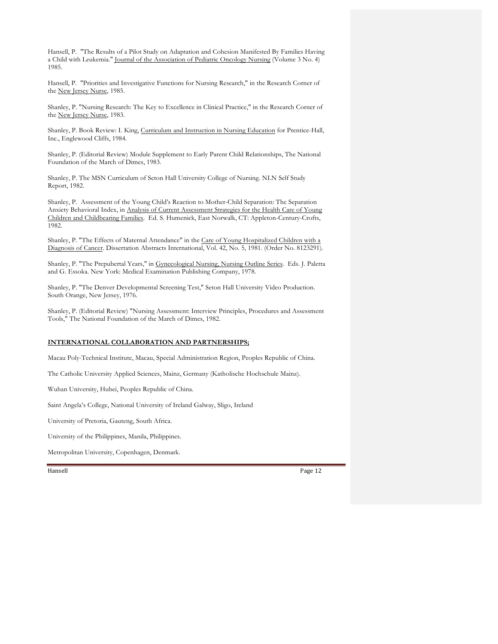Hansell, P. "The Results of a Pilot Study on Adaptation and Cohesion Manifested By Families Having a Child with Leukemia." Journal of the Association of Pediatric Oncology Nursing (Volume 3 No. 4) 1985.

Hansell, P. "Priorities and Investigative Functions for Nursing Research," in the Research Corner of the New Jersey Nurse, 1985.

Shanley, P. "Nursing Research: The Key to Excellence in Clinical Practice," in the Research Corner of the New Jersey Nurse, 1983.

Shanley, P. Book Review: I. King, Curriculum and Instruction in Nursing Education for Prentice-Hall, Inc., Englewood Cliffs, 1984.

Shanley, P. (Editorial Review) Module Supplement to Early Parent Child Relationships, The National Foundation of the March of Dimes, 1983.

Shanley, P. The MSN Curriculum of Seton Hall University College of Nursing. NLN Self Study Report, 1982.

Shanley, P. Assessment of the Young Child's Reaction to Mother-Child Separation: The Separation Anxiety Behavioral Index, in Analysis of Current Assessment Strategies for the Health Care of Young Children and Childbearing Families. Ed. S. Humenick, East Norwalk, CT: Appleton-Century-Crofts, 1982.

Shanley, P. "The Effects of Maternal Attendance" in the Care of Young Hospitalized Children with a Diagnosis of Cancer. Dissertation Abstracts International, Vol. 42, No. 5, 1981. (Order No. 8123291).

Shanley, P. "The Prepubertal Years," in Gynecological Nursing, Nursing Outline Series. Eds. J. Paletta and G. Essoka. New York: Medical Examination Publishing Company, 1978.

Shanley, P. "The Denver Developmental Screening Test," Seton Hall University Video Production. South Orange, New Jersey, 1976.

Shanley, P. (Editorial Review) "Nursing Assessment: Interview Principles, Procedures and Assessment Tools," The National Foundation of the March of Dimes, 1982.

#### **INTERNATIONAL COLLABORATION AND PARTNERSHIPS;**

Macau Poly-Technical Institute, Macau, Special Administration Region, Peoples Republic of China.

The Catholic University Applied Sciences, Mainz, Germany (Katholische Hochschule Mainz).

Wuhan University, Hubei, Peoples Republic of China.

Saint Angela's College, National University of Ireland Galway, Sligo, Ireland

University of Pretoria, Gauteng, South Africa.

University of the Philippines, Manila, Philippines.

Metropolitan University, Copenhagen, Denmark.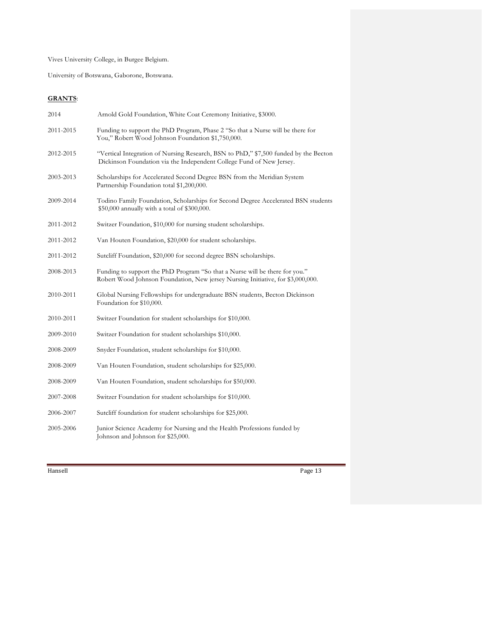Vives University College, in Burgee Belgium.

University of Botswana, Gaborone, Botswana.

## **GRANTS**:

| 2014      | Arnold Gold Foundation, White Coat Ceremony Initiative, \$3000.                                                                                                |
|-----------|----------------------------------------------------------------------------------------------------------------------------------------------------------------|
| 2011-2015 | Funding to support the PhD Program, Phase 2 "So that a Nurse will be there for<br>You," Robert Wood Johnson Foundation \$1,750,000.                            |
| 2012-2015 | "Vertical Integration of Nursing Research, BSN to PhD," \$7,500 funded by the Becton<br>Dickinson Foundation via the Independent College Fund of New Jersey.   |
| 2003-2013 | Scholarships for Accelerated Second Degree BSN from the Meridian System<br>Partnership Foundation total \$1,200,000.                                           |
| 2009-2014 | Todino Family Foundation, Scholarships for Second Degree Accelerated BSN students<br>\$50,000 annually with a total of \$300,000.                              |
| 2011-2012 | Switzer Foundation, \$10,000 for nursing student scholarships.                                                                                                 |
| 2011-2012 | Van Houten Foundation, \$20,000 for student scholarships.                                                                                                      |
| 2011-2012 | Sutcliff Foundation, \$20,000 for second degree BSN scholarships.                                                                                              |
| 2008-2013 | Funding to support the PhD Program "So that a Nurse will be there for you."<br>Robert Wood Johnson Foundation, New jersey Nursing Initiative, for \$3,000,000. |
| 2010-2011 | Global Nursing Fellowships for undergraduate BSN students, Becton Dickinson<br>Foundation for \$10,000.                                                        |
| 2010-2011 | Switzer Foundation for student scholarships for \$10,000.                                                                                                      |
| 2009-2010 | Switzer Foundation for student scholarships \$10,000.                                                                                                          |
| 2008-2009 | Snyder Foundation, student scholarships for \$10,000.                                                                                                          |
| 2008-2009 | Van Houten Foundation, student scholarships for \$25,000.                                                                                                      |
| 2008-2009 | Van Houten Foundation, student scholarships for \$50,000.                                                                                                      |
| 2007-2008 | Switzer Foundation for student scholarships for \$10,000.                                                                                                      |
| 2006-2007 | Sutcliff foundation for student scholarships for \$25,000.                                                                                                     |
| 2005-2006 | Junior Science Academy for Nursing and the Health Professions funded by<br>Johnson and Johnson for \$25,000.                                                   |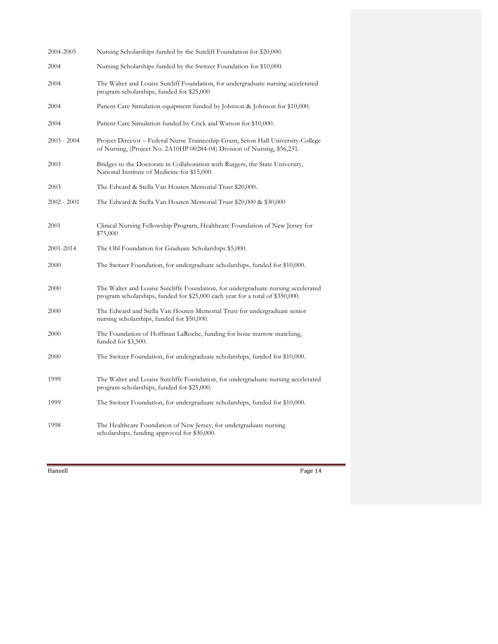| 2004-2005     | Nursing Scholarships funded by the Sutcliff Foundation for \$20,000.                                                                                               |
|---------------|--------------------------------------------------------------------------------------------------------------------------------------------------------------------|
| 2004          | Nursing Scholarships funded by the Switzer Foundation for \$10,000.                                                                                                |
| 2004          | The Walter and Louise Sutcliff Foundation, for undergraduate nursing accelerated<br>program scholarships, funded for \$25,000                                      |
| 2004          | Patient Care Simulation equipment funded by Johnson & Johnson for \$10,000.                                                                                        |
| 2004          | Patient Care Simulation funded by Crick and Watson for \$10,000.                                                                                                   |
| $2003 - 2004$ | Project Director – Federal Nurse Traineeship Grant, Seton Hall University-College<br>of Nursing, (Project No. 2A10HP 00284-04) Division of Nursing, \$56,231.      |
| 2003          | Bridges to the Doctorate in Collaboration with Rutgers, the State University,<br>National Institute of Medicine for \$15,000.                                      |
| 2003          | The Edward & Stella Van Houten Memorial Trust \$20,000.                                                                                                            |
| $2002 - 2001$ | The Edward & Stella Van Houten Memorial Trust \$20,000 & \$30,000                                                                                                  |
| 2001          | Clinical Nursing Fellowship Program, Healthcare Foundation of New Jersey for<br>\$75,000                                                                           |
| 2001-2014     | The Ohl Foundation for Graduate Scholarships \$5,000.                                                                                                              |
| 2000          | The Switzer Foundation, for undergraduate scholarships, funded for \$10,000.                                                                                       |
| 2000          | The Walter and Louise Sutcliffe Foundation, for undergraduate nursing accelerated<br>program scholarships, funded for \$25,000 each year for a total of \$350,000. |
| 2000          | The Edward and Stella Van Houten Memorial Trust for undergraduate senior<br>nursing scholarships, funded for \$50,000.                                             |
| 2000          | The Foundation of Hoffman LaRoche, funding for bone marrow matching,<br>funded for \$3,500.                                                                        |
| 2000          | The Switzer Foundation, for undergraduate scholarships, funded for \$10,000.                                                                                       |
| 1999          | The Walter and Louise Sutcliffe Foundation, for undergraduate nursing accelerated<br>program scholarships, funded for \$25,000.                                    |
| 1999          | The Switzer Foundation, for undergraduate scholarships, funded for \$10,000.                                                                                       |
| 1998          | The Healthcare Foundation of New Jersey, for undergraduate nursing<br>scholarships, funding approved for \$30,000.                                                 |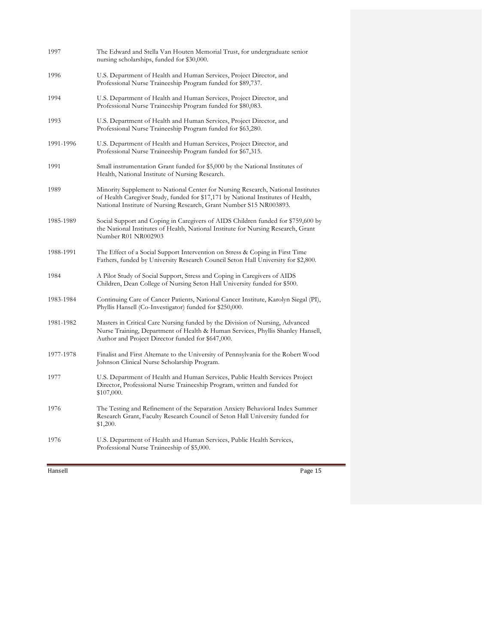| 1997      | The Edward and Stella Van Houten Memorial Trust, for undergraduate senior<br>nursing scholarships, funded for \$30,000.                                                                                                                    |
|-----------|--------------------------------------------------------------------------------------------------------------------------------------------------------------------------------------------------------------------------------------------|
| 1996      | U.S. Department of Health and Human Services, Project Director, and<br>Professional Nurse Traineeship Program funded for \$89,737.                                                                                                         |
| 1994      | U.S. Department of Health and Human Services, Project Director, and<br>Professional Nurse Traineeship Program funded for \$80,083.                                                                                                         |
| 1993      | U.S. Department of Health and Human Services, Project Director, and<br>Professional Nurse Traineeship Program funded for \$63,280.                                                                                                         |
| 1991-1996 | U.S. Department of Health and Human Services, Project Director, and<br>Professional Nurse Traineeship Program funded for \$67,315.                                                                                                         |
| 1991      | Small instrumentation Grant funded for \$5,000 by the National Institutes of<br>Health, National Institute of Nursing Research.                                                                                                            |
| 1989      | Minority Supplement to National Center for Nursing Research, National Institutes<br>of Health Caregiver Study, funded for \$17,171 by National Institutes of Health,<br>National Institute of Nursing Research, Grant Number S15 NR003893. |
| 1985-1989 | Social Support and Coping in Caregivers of AIDS Children funded for \$759,600 by<br>the National Institutes of Health, National Institute for Nursing Research, Grant<br>Number R01 NR002903                                               |
| 1988-1991 | The Effect of a Social Support Intervention on Stress & Coping in First Time<br>Fathers, funded by University Research Council Seton Hall University for \$2,800.                                                                          |
| 1984      | A Pilot Study of Social Support, Stress and Coping in Caregivers of AIDS<br>Children, Dean College of Nursing Seton Hall University funded for \$500.                                                                                      |
| 1983-1984 | Continuing Care of Cancer Patients, National Cancer Institute, Karolyn Siegal (PI),<br>Phyllis Hansell (Co-Investigator) funded for \$250,000.                                                                                             |
| 1981-1982 | Masters in Critical Care Nursing funded by the Division of Nursing, Advanced<br>Nurse Training, Department of Health & Human Services, Phyllis Shanley Hansell,<br>Author and Project Director funded for \$647,000.                       |
| 1977-1978 | Finalist and First Alternate to the University of Pennsylvania for the Robert Wood<br>Johnson Clinical Nurse Scholarship Program.                                                                                                          |
| 1977      | U.S. Department of Health and Human Services, Public Health Services Project<br>Director, Professional Nurse Traineeship Program, written and funded for<br>\$107,000.                                                                     |
| 1976      | The Testing and Refinement of the Separation Anxiety Behavioral Index Summer<br>Research Grant, Faculty Research Council of Seton Hall University funded for<br>\$1,200.                                                                   |
| 1976      | U.S. Department of Health and Human Services, Public Health Services,<br>Professional Nurse Traineeship of \$5,000.                                                                                                                        |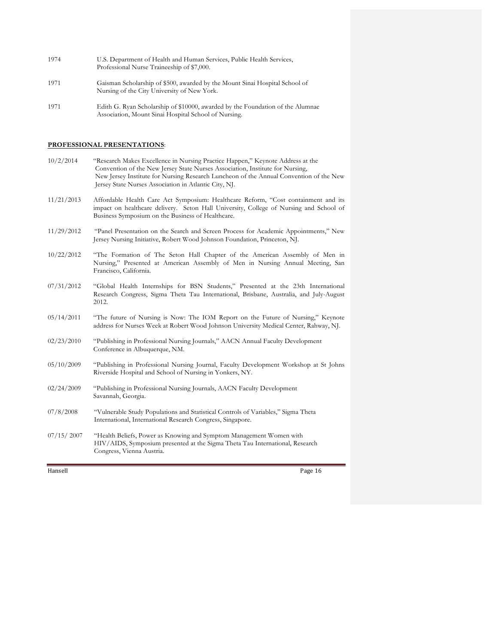| 1974 | U.S. Department of Health and Human Services, Public Health Services, |
|------|-----------------------------------------------------------------------|
|      | Professional Nurse Traineeship of \$7,000.                            |

- 1971 Gaisman Scholarship of \$500, awarded by the Mount Sinai Hospital School of Nursing of the City University of New York.
- 1971 Edith G. Ryan Scholarship of \$10000, awarded by the Foundation of the Alumnae Association, Mount Sinai Hospital School of Nursing.

### **PROFESSIONAL PRESENTATIONS**:

| 10/2/2014  | "Research Makes Excellence in Nursing Practice Happen," Keynote Address at the<br>Convention of the New Jersey State Nurses Association, Institute for Nursing,<br>New Jersey Institute for Nursing Research Luncheon of the Annual Convention of the New<br>Jersey State Nurses Association in Atlantic City, NJ. |
|------------|--------------------------------------------------------------------------------------------------------------------------------------------------------------------------------------------------------------------------------------------------------------------------------------------------------------------|
| 11/21/2013 | Affordable Health Care Act Symposium: Healthcare Reform, "Cost containment and its<br>impact on healthcare delivery. Seton Hall University, College of Nursing and School of<br>Business Symposium on the Business of Healthcare.                                                                                  |
| 11/29/2012 | "Panel Presentation on the Search and Screen Process for Academic Appointments," New<br>Jersey Nursing Initiative, Robert Wood Johnson Foundation, Princeton, NJ.                                                                                                                                                  |
| 10/22/2012 | "The Formation of The Seton Hall Chapter of the American Assembly of Men in<br>Nursing," Presented at American Assembly of Men in Nursing Annual Meeting, San<br>Francisco, California.                                                                                                                            |
| 07/31/2012 | "Global Health Internships for BSN Students," Presented at the 23th International<br>Research Congress, Sigma Theta Tau International, Brisbane, Australia, and July-August<br>2012.                                                                                                                               |
| 05/14/2011 | "The future of Nursing is Now: The IOM Report on the Future of Nursing," Keynote<br>address for Nurses Week at Robert Wood Johnson University Medical Center, Rahway, NJ.                                                                                                                                          |
| 02/23/2010 | "Publishing in Professional Nursing Journals," AACN Annual Faculty Development<br>Conference in Albuquerque, NM.                                                                                                                                                                                                   |
| 05/10/2009 | "Publishing in Professional Nursing Journal, Faculty Development Workshop at St Johns<br>Riverside Hospital and School of Nursing in Yonkers, NY.                                                                                                                                                                  |
| 02/24/2009 | "Publishing in Professional Nursing Journals, AACN Faculty Development<br>Savannah, Georgia.                                                                                                                                                                                                                       |
| 07/8/2008  | "Vulnerable Study Populations and Statistical Controls of Variables," Sigma Theta<br>International, International Research Congress, Singapore.                                                                                                                                                                    |
| 07/15/2007 | "Health Beliefs, Power as Knowing and Symptom Management Women with<br>HIV/AIDS, Symposium presented at the Sigma Theta Tau International, Research<br>Congress, Vienna Austria.                                                                                                                                   |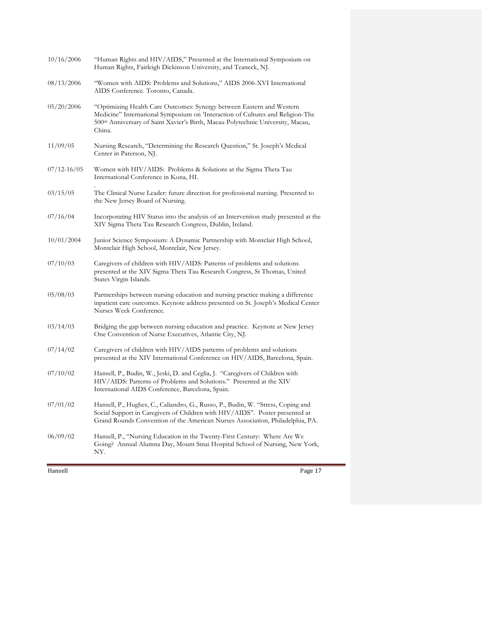| 10/16/2006      | "Human Rights and HIV/AIDS," Presented at the International Symposium on<br>Human Rights, Fairleigh Dickinson University, and Teaneck, NJ.                                                                                                           |
|-----------------|------------------------------------------------------------------------------------------------------------------------------------------------------------------------------------------------------------------------------------------------------|
| 08/13/2006      | "Women with AIDS: Problems and Solutions," AIDS 2006-XVI International<br>AIDS Conference. Toronto, Canada.                                                                                                                                          |
| 05/20/2006      | "Optimizing Health Care Outcomes: Synergy between Eastern and Western<br>Medicine" International Symposium on 'Interaction of Cultures and Religion-The<br>500th Anniversary of Saint Xavier's Birth, Macau Polytechnic University, Macau,<br>China. |
| 11/09/05        | Nursing Research, "Determining the Research Question," St. Joseph's Medical<br>Center in Paterson, NJ.                                                                                                                                               |
| $07/12 - 16/05$ | Women with HIV/AIDS: Problems & Solutions at the Sigma Theta Tau<br>International Conference in Kona, HI.                                                                                                                                            |
| 03/15/05        | The Clinical Nurse Leader: future direction for professional nursing. Presented to<br>the New Jersey Board of Nursing.                                                                                                                               |
| 07/16/04        | Incorporating HIV Status into the analysis of an Intervention study presented at the<br>XIV Sigma Theta Tau Research Congress, Dublin, Ireland.                                                                                                      |
| 10/01/2004      | Junior Science Symposium: A Dynamic Partnership with Montclair High School,<br>Montclair High School, Montclair, New Jersey.                                                                                                                         |
| 07/10/03        | Caregivers of children with HIV/AIDS: Patterns of problems and solutions<br>presented at the XIV Sigma Theta Tau Research Congress, St Thomas, United<br>States Virgin Islands.                                                                      |
| 05/08/03        | Partnerships between nursing education and nursing practice making a difference<br>inpatient care outcomes. Keynote address presented on St. Joseph's Medical Center<br>Nurses Week Conference.                                                      |
| 03/14/03        | Bridging the gap between nursing education and practice. Keynote at New Jersey<br>One Convention of Nurse Executives, Atlantic City, NJ.                                                                                                             |
| 07/14/02        | Caregivers of children with HIV/AIDS patterns of problems and solutions<br>presented at the XIV International Conference on HIV/AIDS, Barcelona, Spain.                                                                                              |
| 07/10/02        | Hansell, P., Budin, W., Jeski, D. and Ceglia, J. "Caregivers of Children with<br>HIV/AIDS: Patterns of Problems and Solutions." Presented at the XIV<br>International AIDS Conference, Barcelona, Spain.                                             |
| 07/01/02        | Hansell, P., Hughes, C., Caliandro, G., Russo, P., Budin, W. "Stress, Coping and<br>Social Support in Caregivers of Children with HIV/AIDS". Poster presented at<br>Grand Rounds Convention of the American Nurses Association, Philadelphia, PA.    |
| 06/09/02        | Hansell, P., "Nursing Education in the Twenty-First Century: Where Are We<br>Going? Annual Alumna Day, Mount Sinai Hospital School of Nursing, New York,<br>NY.                                                                                      |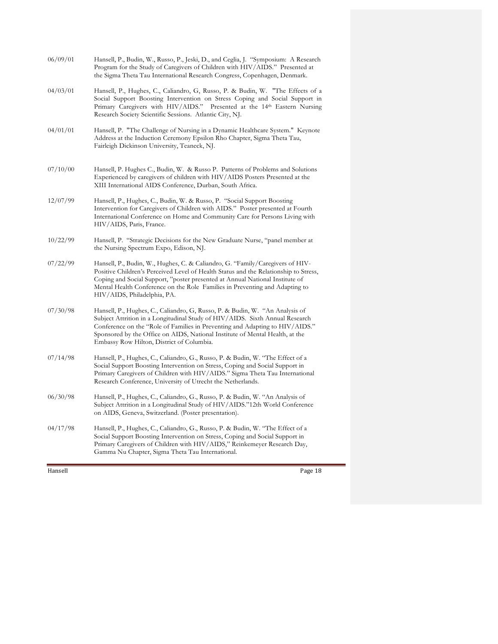| Hansell  | Page 18                                                                                                                                                                                                                                                                                                                                                                   |
|----------|---------------------------------------------------------------------------------------------------------------------------------------------------------------------------------------------------------------------------------------------------------------------------------------------------------------------------------------------------------------------------|
| 04/17/98 | Hansell, P., Hughes, C., Caliandro, G., Russo, P. & Budin, W. "The Effect of a<br>Social Support Boosting Intervention on Stress, Coping and Social Support in<br>Primary Caregivers of Children with HIV/AIDS," Reinkemeyer Research Day,<br>Gamma Nu Chapter, Sigma Theta Tau International.                                                                            |
| 06/30/98 | Hansell, P., Hughes, C., Caliandro, G., Russo, P. & Budin, W. "An Analysis of<br>Subject Attrition in a Longitudinal Study of HIV/AIDS."12th World Conference<br>on AIDS, Geneva, Switzerland. (Poster presentation).                                                                                                                                                     |
| 07/14/98 | Hansell, P., Hughes, C., Caliandro, G., Russo, P. & Budin, W. "The Effect of a<br>Social Support Boosting Intervention on Stress, Coping and Social Support in<br>Primary Caregivers of Children with HIV/AIDS." Sigma Theta Tau International<br>Research Conference, University of Utrecht the Netherlands.                                                             |
| 07/30/98 | Hansell, P., Hughes, C., Caliandro, G, Russo, P. & Budin, W. "An Analysis of<br>Subject Attrition in a Longitudinal Study of HIV/AIDS. Sixth Annual Research<br>Conference on the "Role of Families in Preventing and Adapting to HIV/AIDS."<br>Sponsored by the Office on AIDS, National Institute of Mental Health, at the<br>Embassy Row Hilton, District of Columbia. |
| 07/22/99 | Hansell, P., Budin, W., Hughes, C. & Caliandro, G. "Family/Caregivers of HIV-<br>Positive Children's Perceived Level of Health Status and the Relationship to Stress,<br>Coping and Social Support, "poster presented at Annual National Institute of<br>Mental Health Conference on the Role Families in Preventing and Adapting to<br>HIV/AIDS, Philadelphia, PA.       |
| 10/22/99 | Hansell, P. "Strategic Decisions for the New Graduate Nurse, "panel member at<br>the Nursing Spectrum Expo, Edison, NJ.                                                                                                                                                                                                                                                   |
| 12/07/99 | Hansell, P., Hughes, C., Budin, W. & Russo, P. "Social Support Boosting<br>Intervention for Caregivers of Children with AIDS." Poster presented at Fourth<br>International Conference on Home and Community Care for Persons Living with<br>HIV/AIDS, Paris, France.                                                                                                      |
| 07/10/00 | Hansell, P. Hughes C., Budin, W. & Russo P. Patterns of Problems and Solutions<br>Experienced by caregivers of children with HIV/AIDS Posters Presented at the<br>XIII International AIDS Conference, Durban, South Africa.                                                                                                                                               |
| 04/01/01 | Hansell, P. "The Challenge of Nursing in a Dynamic Healthcare System." Keynote<br>Address at the Induction Ceremony Epsilon Rho Chapter, Sigma Theta Tau,<br>Fairleigh Dickinson University, Teaneck, NJ.                                                                                                                                                                 |
| 04/03/01 | Hansell, P., Hughes, C., Caliandro, G., Russo, P. & Budin, W. "The Effects of a<br>Social Support Boosting Intervention on Stress Coping and Social Support in<br>Primary Caregivers with HIV/AIDS." Presented at the 14th Eastern Nursing<br>Research Society Scientific Sessions. Atlantic City, NJ.                                                                    |
| 06/09/01 | Hansell, P., Budin, W., Russo, P., Jeski, D., and Ceglia, J. "Symposium: A Research<br>Program for the Study of Caregivers of Children with HIV/AIDS." Presented at<br>the Sigma Theta Tau International Research Congress, Copenhagen, Denmark.                                                                                                                          |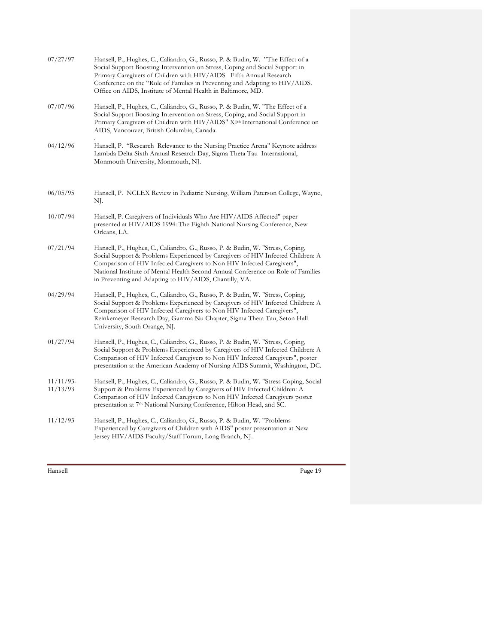| 07/27/97                 | Hansell, P., Hughes, C., Caliandro, G., Russo, P. & Budin, W. "The Effect of a<br>Social Support Boosting Intervention on Stress, Coping and Social Support in<br>Primary Caregivers of Children with HIV/AIDS. Fifth Annual Research<br>Conference on the "Role of Families in Preventing and Adapting to HIV/AIDS.<br>Office on AIDS, Institute of Mental Health in Baltimore, MD.      |
|--------------------------|-------------------------------------------------------------------------------------------------------------------------------------------------------------------------------------------------------------------------------------------------------------------------------------------------------------------------------------------------------------------------------------------|
| 07/07/96                 | Hansell, P., Hughes, C., Caliandro, G., Russo, P. & Budin, W. "The Effect of a<br>Social Support Boosting Intervention on Stress, Coping, and Social Support in<br>Primary Caregivers of Children with HIV/AIDS" XI <sup>th</sup> International Conference on<br>AIDS, Vancouver, British Columbia, Canada.                                                                               |
| 04/12/96                 | Hansell, P. "Research Relevance to the Nursing Practice Arena" Keynote address<br>Lambda Delta Sixth Annual Research Day, Sigma Theta Tau International,<br>Monmouth University, Monmouth, NJ.                                                                                                                                                                                            |
| 06/05/95                 | Hansell, P. NCLEX Review in Pediatric Nursing, William Paterson College, Wayne,<br>NJ.                                                                                                                                                                                                                                                                                                    |
| 10/07/94                 | Hansell, P. Caregivers of Individuals Who Are HIV/AIDS Affected" paper<br>presented at HIV/AIDS 1994: The Eighth National Nursing Conference, New<br>Orleans, LA.                                                                                                                                                                                                                         |
| 07/21/94                 | Hansell, P., Hughes, C., Caliandro, G., Russo, P. & Budin, W. "Stress, Coping,<br>Social Support & Problems Experienced by Caregivers of HIV Infected Children: A<br>Comparison of HIV Infected Caregivers to Non HIV Infected Caregivers",<br>National Institute of Mental Health Second Annual Conference on Role of Families<br>in Preventing and Adapting to HIV/AIDS, Chantilly, VA. |
| 04/29/94                 | Hansell, P., Hughes, C., Caliandro, G., Russo, P. & Budin, W. "Stress, Coping,<br>Social Support & Problems Experienced by Caregivers of HIV Infected Children: A<br>Comparison of HIV Infected Caregivers to Non HIV Infected Caregivers",<br>Reinkemeyer Research Day, Gamma Nu Chapter, Sigma Theta Tau, Seton Hall<br>University, South Orange, NJ.                                   |
| 01/27/94                 | Hansell, P., Hughes, C., Caliandro, G., Russo, P. & Budin, W. "Stress, Coping,<br>Social Support & Problems Experienced by Caregivers of HIV Infected Children: A<br>Comparison of HIV Infected Caregivers to Non HIV Infected Caregivers", poster<br>presentation at the American Academy of Nursing AIDS Summit, Washington, DC.                                                        |
| $11/11/93$ -<br>11/13/93 | Hansell, P., Hughes, C., Caliandro, G., Russo, P. & Budin, W. "Stress Coping, Social<br>Support & Problems Experienced by Caregivers of HIV Infected Children: A<br>Comparison of HIV Infected Caregivers to Non HIV Infected Caregivers poster<br>presentation at 7 <sup>th</sup> National Nursing Conference, Hilton Head, and SC.                                                      |
| 11/12/93                 | Hansell, P., Hughes, C., Caliandro, G., Russo, P. & Budin, W. "Problems<br>Experienced by Caregivers of Children with AIDS" poster presentation at New<br>Jersey HIV/AIDS Faculty/Staff Forum, Long Branch, NJ.                                                                                                                                                                           |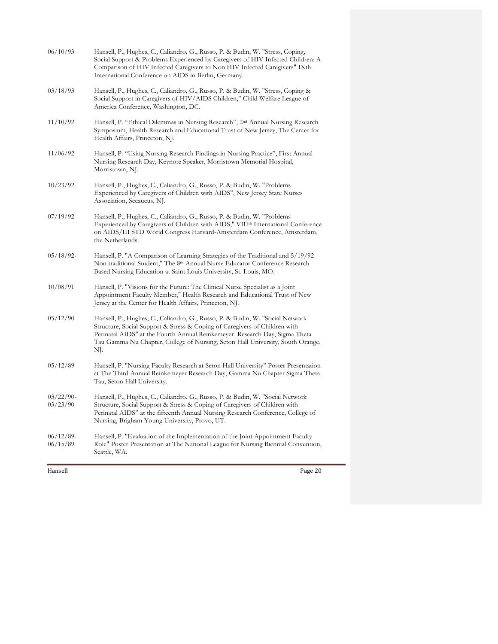| 06/10/93                 | Hansell, P., Hughes, C., Caliandro, G., Russo, P. & Budin, W. "Stress, Coping,<br>Social Support & Problems Experienced by Caregivers of HIV Infected Children: A<br>Comparison of HIV Infected Caregivers to Non HIV Infected Caregivers" IXth<br>International Conference on AIDS in Berlin, Germany.                            |
|--------------------------|------------------------------------------------------------------------------------------------------------------------------------------------------------------------------------------------------------------------------------------------------------------------------------------------------------------------------------|
| 03/18/93                 | Hansell, P., Hughes, C., Caliandro, G., Russo, P. & Budin, W. "Stress, Coping &<br>Social Support in Caregivers of HIV/AIDS Children," Child Welfare League of<br>America Conference, Washington, DC.                                                                                                                              |
| 11/10/92                 | Hansell, P. "Ethical Dilemmas in Nursing Research", 2nd Annual Nursing Research<br>Symposium, Health Research and Educational Trust of New Jersey, The Center for<br>Health Affairs, Princeton, NJ.                                                                                                                                |
| 11/06/92                 | Hansell, P. "Using Nursing Research Findings in Nursing Practice", First Annual<br>Nursing Research Day, Keynote Speaker, Morristown Memorial Hospital,<br>Morristown, NJ.                                                                                                                                                         |
| 10/23/92                 | Hansell, P., Hughes, C., Caliandro, G., Russo, P. & Budin, W. "Problems<br>Experienced by Caregivers of Children with AIDS", New Jersey State Nurses<br>Association, Secaucus, NJ.                                                                                                                                                 |
| 07/19/92                 | Hansell, P., Hughes, C., Caliandro, G., Russo, P. & Budin, W. "Problems<br>Experienced by Caregivers of Children with AIDS," VIII <sup>th</sup> International Conference<br>on AIDS/III STD World Congress Harvard-Amsterdam Conference, Amsterdam,<br>the Netherlands.                                                            |
| 05/18/92                 | Hansell, P. "A Comparison of Learning Strategies of the Traditional and 5/19/92<br>Non traditional Student," The 8th Annual Nurse Educator Conference Research<br>Based Nursing Education at Saint Louis University, St. Louis, MO.                                                                                                |
| 10/08/91                 | Hansell, P. "Visions for the Future: The Clinical Nurse Specialist as a Joint<br>Appointment Faculty Member," Health Research and Educational Trust of New<br>Jersey at the Center for Health Affairs, Princeton, NJ.                                                                                                              |
| 05/12/90                 | Hansell, P., Hughes, C., Caliandro, G., Russo, P. & Budin, W. "Social Network<br>Structure, Social Support & Stress & Coping of Caregivers of Children with<br>Perinatal AIDS" at the Fourth Annual Reinkemeyer Research Day, Sigma Theta<br>Tau Gamma Nu Chapter, College of Nursing, Seton Hall University, South Orange,<br>NJ. |
| 05/12/89                 | Hansell, P. "Nursing Faculty Research at Seton Hall University" Poster Presentation<br>at The Third Annual Reinkemeyer Research Day, Gamma Nu Chapter Sigma Theta<br>Tau, Seton Hall University.                                                                                                                                   |
| 03/22/90<br>03/23/90     | Hansell, P., Hughes, C., Caliandro, G., Russo, P. & Budin, W. "Social Network<br>Structure, Social Support & Stress & Coping of Caregivers of Children with<br>Perinatal AIDS" at the fifteenth Annual Nursing Research Conference, College of<br>Nursing, Brigham Young University, Provo, UT.                                    |
| $06/12/89$ -<br>06/15/89 | Hansell, P. "Evaluation of the Implementation of the Joint Appointment Faculty<br>Role" Poster Presentation at The National League for Nursing Biennial Convention,<br>Seattle, WA.                                                                                                                                                |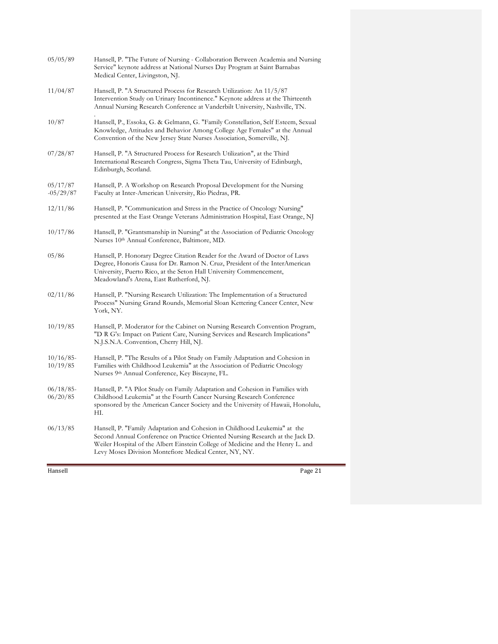| Hansell                  | Page 21                                                                                                                                                                                                                                                                                                 |
|--------------------------|---------------------------------------------------------------------------------------------------------------------------------------------------------------------------------------------------------------------------------------------------------------------------------------------------------|
| 06/13/85                 | Hansell, P. "Family Adaptation and Cohesion in Childhood Leukemia" at the<br>Second Annual Conference on Practice Oriented Nursing Research at the Jack D.<br>Weiler Hospital of the Albert Einstein College of Medicine and the Henry L. and<br>Levy Moses Division Montefiore Medical Center, NY, NY. |
| $06/18/85$ -<br>06/20/85 | Hansell, P. "A Pilot Study on Family Adaptation and Cohesion in Families with<br>Childhood Leukemia" at the Fourth Cancer Nursing Research Conference<br>sponsored by the American Cancer Society and the University of Hawaii, Honolulu,<br>HI.                                                        |
| 10/16/85<br>10/19/85     | Hansell, P. "The Results of a Pilot Study on Family Adaptation and Cohesion in<br>Families with Childhood Leukemia" at the Association of Pediatric Oncology<br>Nurses 9 <sup>th</sup> Annual Conference, Key Biscayne, FL.                                                                             |
| 10/19/85                 | Hansell, P. Moderator for the Cabinet on Nursing Research Convention Program,<br>"D R G's: Impact on Patient Care, Nursing Services and Research Implications"<br>N.J.S.N.A. Convention, Cherry Hill, NJ.                                                                                               |
| 02/11/86                 | Hansell, P. "Nursing Research Utilization: The Implementation of a Structured<br>Process" Nursing Grand Rounds, Memorial Sloan Kettering Cancer Center, New<br>York, NY.                                                                                                                                |
| 05/86                    | Hansell, P. Honorary Degree Citation Reader for the Award of Doctor of Laws<br>Degree, Honoris Causa for Dr. Ramon N. Cruz, President of the InterAmerican<br>University, Puerto Rico, at the Seton Hall University Commencement,<br>Meadowland's Arena, East Rutherford, NJ.                           |
| 10/17/86                 | Hansell, P. "Grantsmanship in Nursing" at the Association of Pediatric Oncology<br>Nurses 10th Annual Conference, Baltimore, MD.                                                                                                                                                                        |
| 12/11/86                 | Hansell, P. "Communication and Stress in the Practice of Oncology Nursing"<br>presented at the East Orange Veterans Administration Hospital, East Orange, NJ                                                                                                                                            |
| 05/17/87<br>$-05/29/87$  | Hansell, P. A Workshop on Research Proposal Development for the Nursing<br>Faculty at Inter-American University, Rio Piedras, PR.                                                                                                                                                                       |
| 07/28/87                 | Hansell, P. "A Structured Process for Research Utilization", at the Third<br>International Research Congress, Sigma Theta Tau, University of Edinburgh,<br>Edinburgh, Scotland.                                                                                                                         |
| 10/87                    | Hansell, P., Essoka, G. & Gelmann, G. "Family Constellation, Self Esteem, Sexual<br>Knowledge, Attitudes and Behavior Among College Age Females" at the Annual<br>Convention of the New Jersey State Nurses Association, Somerville, NJ.                                                                |
| 11/04/87                 | Hansell, P. "A Structured Process for Research Utilization: An 11/5/87<br>Intervention Study on Urinary Incontinence." Keynote address at the Thirteenth<br>Annual Nursing Research Conference at Vanderbilt University, Nashville, TN.                                                                 |
| 05/05/89                 | Hansell, P. "The Future of Nursing - Collaboration Between Academia and Nursing<br>Service" keynote address at National Nurses Day Program at Saint Barnabas<br>Medical Center, Livingston, NJ.                                                                                                         |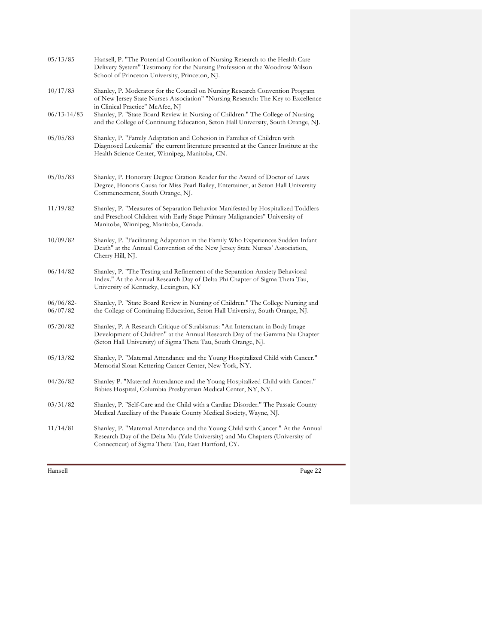| 05/13/85             | Hansell, P. "The Potential Contribution of Nursing Research to the Health Care<br>Delivery System" Testimony for the Nursing Profession at the Woodrow Wilson<br>School of Princeton University, Princeton, NJ.              |
|----------------------|------------------------------------------------------------------------------------------------------------------------------------------------------------------------------------------------------------------------------|
| 10/17/83             | Shanley, P. Moderator for the Council on Nursing Research Convention Program<br>of New Jersey State Nurses Association" "Nursing Research: The Key to Excellence<br>in Clinical Practice" McAfee, NJ                         |
| $06/13 - 14/83$      | Shanley, P. "State Board Review in Nursing of Children." The College of Nursing<br>and the College of Continuing Education, Seton Hall University, South Orange, NJ.                                                         |
| 05/05/83             | Shanley, P. "Family Adaptation and Cohesion in Families of Children with<br>Diagnosed Leukemia" the current literature presented at the Cancer Institute at the<br>Health Science Center, Winnipeg, Manitoba, CN.            |
| 05/05/83             | Shanley, P. Honorary Degree Citation Reader for the Award of Doctor of Laws<br>Degree, Honoris Causa for Miss Pearl Bailey, Entertainer, at Seton Hall University<br>Commencement, South Orange, NJ.                         |
| 11/19/82             | Shanley, P. "Measures of Separation Behavior Manifested by Hospitalized Toddlers<br>and Preschool Children with Early Stage Primary Malignancies" University of<br>Manitoba, Winnipeg, Manitoba, Canada.                     |
| 10/09/82             | Shanley, P. "Facilitating Adaptation in the Family Who Experiences Sudden Infant<br>Death" at the Annual Convention of the New Jersey State Nurses' Association,<br>Cherry Hill, NJ.                                         |
| 06/14/82             | Shanley, P. "The Testing and Refinement of the Separation Anxiety Behavioral<br>Index." At the Annual Research Day of Delta Phi Chapter of Sigma Theta Tau,<br>University of Kentucky, Lexington, KY                         |
| 06/06/82<br>06/07/82 | Shanley, P. "State Board Review in Nursing of Children." The College Nursing and<br>the College of Continuing Education, Seton Hall University, South Orange, NJ.                                                            |
| 05/20/82             | Shanley, P. A Research Critique of Strabismus: "An Interactant in Body Image<br>Development of Children" at the Annual Research Day of the Gamma Nu Chapter<br>(Seton Hall University) of Sigma Theta Tau, South Orange, NJ. |
| 05/13/82             | Shanley, P. "Maternal Attendance and the Young Hospitalized Child with Cancer."<br>Memorial Sloan Kettering Cancer Center, New York, NY.                                                                                     |
| 04/26/82             | Shanley P. "Maternal Attendance and the Young Hospitalized Child with Cancer."<br>Babies Hospital, Columbia Presbyterian Medical Center, NY, NY.                                                                             |
| 03/31/82             | Shanley, P. "Self-Care and the Child with a Cardiac Disorder." The Passaic County<br>Medical Auxiliary of the Passaic County Medical Society, Wayne, NJ.                                                                     |
| 11/14/81             | Shanley, P. "Maternal Attendance and the Young Child with Cancer." At the Annual<br>Research Day of the Delta Mu (Yale University) and Mu Chapters (University of<br>Connecticut) of Sigma Theta Tau, East Hartford, CY.     |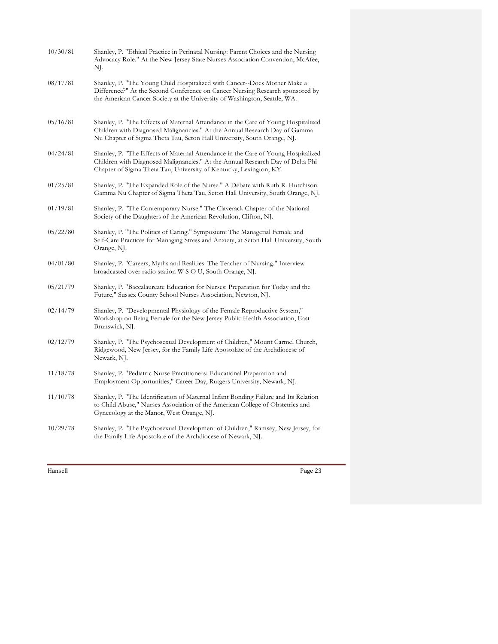| 10/30/81 | Shanley, P. "Ethical Practice in Perinatal Nursing: Parent Choices and the Nursing<br>Advocacy Role." At the New Jersey State Nurses Association Convention, McAfee,<br>NJ.                                                                |
|----------|--------------------------------------------------------------------------------------------------------------------------------------------------------------------------------------------------------------------------------------------|
| 08/17/81 | Shanley, P. "The Young Child Hospitalized with Cancer--Does Mother Make a<br>Difference?" At the Second Conference on Cancer Nursing Research sponsored by<br>the American Cancer Society at the University of Washington, Seattle, WA.    |
| 05/16/81 | Shanley, P. "The Effects of Maternal Attendance in the Care of Young Hospitalized<br>Children with Diagnosed Malignancies." At the Annual Research Day of Gamma<br>Nu Chapter of Sigma Theta Tau, Seton Hall University, South Orange, NJ. |
| 04/24/81 | Shanley, P. "The Effects of Maternal Attendance in the Care of Young Hospitalized<br>Children with Diagnosed Malignancies." At the Annual Research Day of Delta Phi<br>Chapter of Sigma Theta Tau, University of Kentucky, Lexington, KY.  |
| 01/25/81 | Shanley, P. "The Expanded Role of the Nurse." A Debate with Ruth R. Hutchison.<br>Gamma Nu Chapter of Sigma Theta Tau, Seton Hall University, South Orange, NJ.                                                                            |
| 01/19/81 | Shanley, P. "The Contemporary Nurse." The Claverack Chapter of the National<br>Society of the Daughters of the American Revolution, Clifton, NJ.                                                                                           |
| 05/22/80 | Shanley, P. "The Politics of Caring." Symposium: The Managerial Female and<br>Self-Care Practices for Managing Stress and Anxiety, at Seton Hall University, South<br>Orange, NJ.                                                          |
| 04/01/80 | Shanley, P. "Careers, Myths and Realities: The Teacher of Nursing." Interview<br>broadcasted over radio station W S O U, South Orange, NJ.                                                                                                 |
| 05/21/79 | Shanley, P. "Baccalaureate Education for Nurses: Preparation for Today and the<br>Future," Sussex County School Nurses Association, Newton, NJ.                                                                                            |
| 02/14/79 | Shanley, P. "Developmental Physiology of the Female Reproductive System,"<br>Workshop on Being Female for the New Jersey Public Health Association, East<br>Brunswick, NJ.                                                                 |
| 02/12/79 | Shanley, P. "The Psychosexual Development of Children," Mount Carmel Church,<br>Ridgewood, New Jersey, for the Family Life Apostolate of the Archdiocese of<br>Newark, NJ.                                                                 |
| 11/18/78 | Shanley, P. "Pediatric Nurse Practitioners: Educational Preparation and<br>Employment Opportunities," Career Day, Rutgers University, Newark, NJ.                                                                                          |
| 11/10/78 | Shanley, P. "The Identification of Maternal Infant Bonding Failure and Its Relation<br>to Child Abuse," Nurses Association of the American College of Obstetrics and<br>Gynecology at the Manor, West Orange, NJ.                          |
| 10/29/78 | Shanley, P. "The Psychosexual Development of Children," Ramsey, New Jersey, for<br>the Family Life Apostolate of the Archdiocese of Newark, NJ.                                                                                            |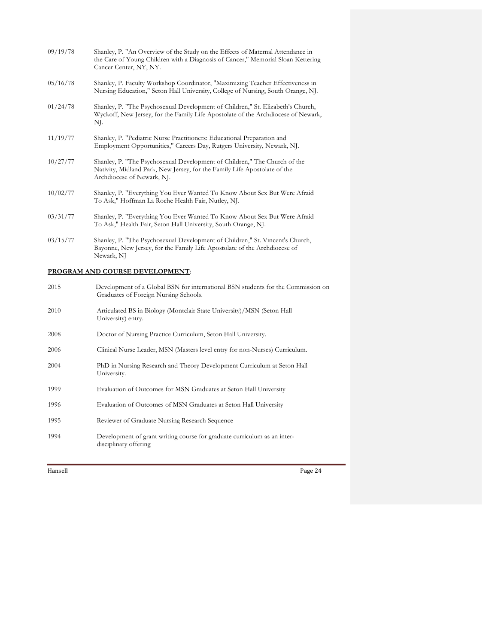| 09/19/78 | Shanley, P. "An Overview of the Study on the Effects of Maternal Attendance in<br>the Care of Young Children with a Diagnosis of Cancer," Memorial Sloan Kettering<br>Cancer Center, NY, NY. |
|----------|----------------------------------------------------------------------------------------------------------------------------------------------------------------------------------------------|
| 05/16/78 | Shanley, P. Faculty Workshop Coordinator, "Maximizing Teacher Effectiveness in<br>Nursing Education," Seton Hall University, College of Nursing, South Orange, NJ.                           |
| 01/24/78 | Shanley, P. "The Psychosexual Development of Children," St. Elizabeth's Church,<br>Wyckoff, New Jersey, for the Family Life Apostolate of the Archdiocese of Newark,<br>NJ.                  |
| 11/19/77 | Shanley, P. "Pediatric Nurse Practitioners: Educational Preparation and<br>Employment Opportunities," Careers Day, Rutgers University, Newark, NJ.                                           |
| 10/27/77 | Shanley, P. "The Psychosexual Development of Children," The Church of the<br>Nativity, Midland Park, New Jersey, for the Family Life Apostolate of the<br>Archdiocese of Newark, NJ.         |
| 10/02/77 | Shanley, P. "Everything You Ever Wanted To Know About Sex But Were Afraid<br>To Ask," Hoffman La Roche Health Fair, Nutley, NJ.                                                              |
| 03/31/77 | Shanley, P. "Everything You Ever Wanted To Know About Sex But Were Afraid<br>To Ask," Health Fair, Seton Hall University, South Orange, NJ.                                                  |
| 03/15/77 | Shanley, P. "The Psychosexual Development of Children," St. Vincent's Church,<br>Bayonne, New Jersey, for the Family Life Apostolate of the Archdiocese of<br>Newark, NJ                     |
|          | <u>program in the gottpap primit online th</u>                                                                                                                                               |

### **PROGRAM AND COURSE DEVELOPMENT**:

| 2015 | Development of a Global BSN for international BSN students for the Commission on<br>Graduates of Foreign Nursing Schools. |
|------|---------------------------------------------------------------------------------------------------------------------------|
| 2010 | Articulated BS in Biology (Montclair State University)/MSN (Seton Hall<br>University) entry.                              |
| 2008 | Doctor of Nursing Practice Curriculum, Seton Hall University.                                                             |
| 2006 | Clinical Nurse Leader, MSN (Masters level entry for non-Nurses) Curriculum.                                               |
| 2004 | PhD in Nursing Research and Theory Development Curriculum at Seton Hall<br>University.                                    |
| 1999 | Evaluation of Outcomes for MSN Graduates at Seton Hall University                                                         |
| 1996 | Evaluation of Outcomes of MSN Graduates at Seton Hall University                                                          |
| 1995 | Reviewer of Graduate Nursing Research Sequence                                                                            |
| 1994 | Development of grant writing course for graduate curriculum as an inter-<br>disciplinary offering                         |
|      |                                                                                                                           |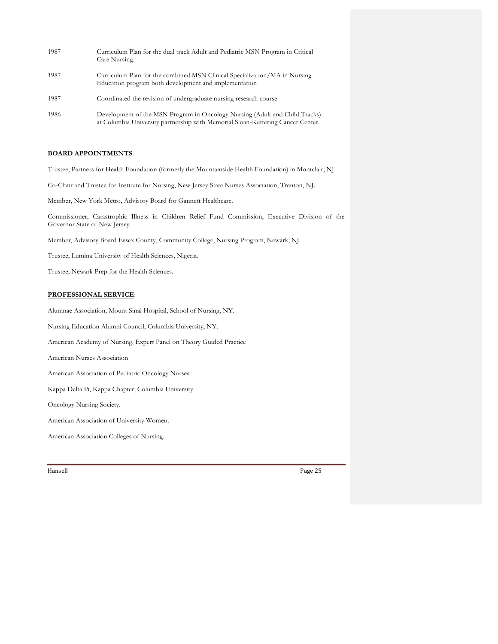| 1987 | Curriculum Plan for the dual track Adult and Pediatric MSN Program in Critical<br>Care Nursing.                                                                |
|------|----------------------------------------------------------------------------------------------------------------------------------------------------------------|
| 1987 | Curriculum Plan for the combined MSN Clinical Specialization/MA in Nursing<br>Education program both development and implementation                            |
| 1987 | Coordinated the revision of undergraduate nursing research course.                                                                                             |
| 1986 | Development of the MSN Program in Oncology Nursing (Adult and Child Tracks)<br>at Columbia University partnership with Memorial Sloan-Kettering Cancer Center. |

### **BOARD APPOINTMENTS**.

Trustee, Partners for Health Foundation (formerly the Mountainside Health Foundation) in Montclair, NJ

Co-Chair and Trustee for Institute for Nursing, New Jersey State Nurses Association, Trenton, NJ.

Member, New York Metro, Advisory Board for Gannett Healthcare.

Commissioner, Catastrophic Illness in Children Relief Fund Commission, Executive Division of the Governor State of New Jersey.

Member, Advisory Board Essex County, Community College, Nursing Program, Newark, NJ.

Trustee, Lumina University of Health Sciences, Nigeria.

Trustee, Newark Prep for the Health Sciences.

### **PROFESSIONAL SERVICE**:

Alumnae Association, Mount Sinai Hospital, School of Nursing, NY.

Nursing Education Alumni Council, Columbia University, NY.

American Academy of Nursing, Expert Panel on Theory Guided Practice

American Nurses Association

American Association of Pediatric Oncology Nurses.

Kappa Delta Pi, Kappa Chapter, Columbia University.

Oncology Nursing Society.

American Association of University Women.

American Association Colleges of Nursing.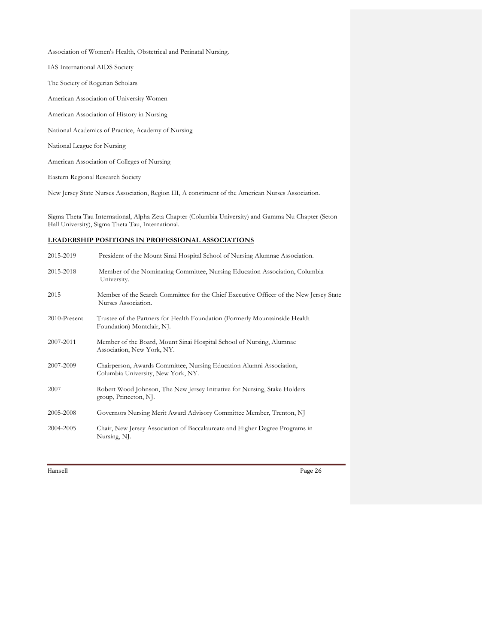Association of Women's Health, Obstetrical and Perinatal Nursing.

IAS International AIDS Society

The Society of Rogerian Scholars

American Association of University Women

American Association of History in Nursing

National Academics of Practice, Academy of Nursing

National League for Nursing

American Association of Colleges of Nursing

Eastern Regional Research Society

New Jersey State Nurses Association, Region III, A constituent of the American Nurses Association.

Sigma Theta Tau International, Alpha Zeta Chapter (Columbia University) and Gamma Nu Chapter (Seton Hall University), Sigma Theta Tau, International.

## **LEADERSHIP POSITIONS IN PROFESSIONAL ASSOCIATIONS**

| 2015-2019    | President of the Mount Sinai Hospital School of Nursing Alumnae Association.                                  |
|--------------|---------------------------------------------------------------------------------------------------------------|
| 2015-2018    | Member of the Nominating Committee, Nursing Education Association, Columbia<br>University.                    |
| 2015         | Member of the Search Committee for the Chief Executive Officer of the New Jersey State<br>Nurses Association. |
| 2010-Present | Trustee of the Partners for Health Foundation (Formerly Mountainside Health)<br>Foundation) Montclair, NJ.    |
| 2007-2011    | Member of the Board, Mount Sinai Hospital School of Nursing, Alumnae<br>Association, New York, NY.            |
| 2007-2009    | Chairperson, Awards Committee, Nursing Education Alumni Association,<br>Columbia University, New York, NY.    |
| 2007         | Robert Wood Johnson, The New Jersey Initiative for Nursing, Stake Holders<br>group, Princeton, NJ.            |
| 2005-2008    | Governors Nursing Merit Award Advisory Committee Member, Trenton, NJ                                          |
| 2004-2005    | Chair, New Jersey Association of Baccalaureate and Higher Degree Programs in<br>Nursing, NJ.                  |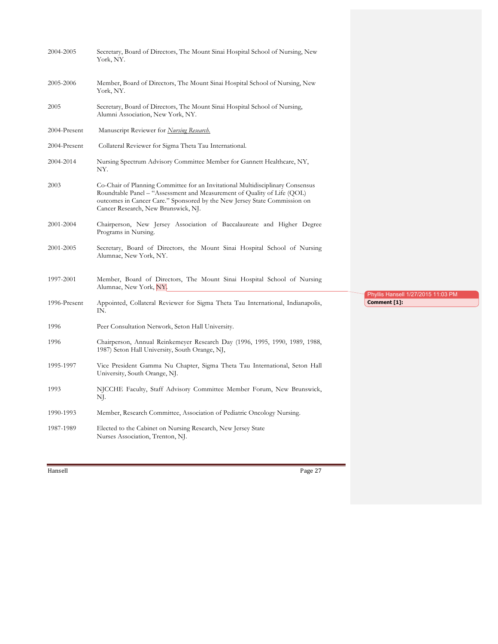| 2004-2005    | Secretary, Board of Directors, The Mount Sinai Hospital School of Nursing, New<br>York, NY.                                                                                                                                                                                   |                                                    |  |
|--------------|-------------------------------------------------------------------------------------------------------------------------------------------------------------------------------------------------------------------------------------------------------------------------------|----------------------------------------------------|--|
| 2005-2006    | Member, Board of Directors, The Mount Sinai Hospital School of Nursing, New<br>York, NY.                                                                                                                                                                                      |                                                    |  |
| 2005         | Secretary, Board of Directors, The Mount Sinai Hospital School of Nursing,<br>Alumni Association, New York, NY.                                                                                                                                                               |                                                    |  |
| 2004-Present | Manuscript Reviewer for <i>Nursing Research</i> .                                                                                                                                                                                                                             |                                                    |  |
| 2004-Present | Collateral Reviewer for Sigma Theta Tau International.                                                                                                                                                                                                                        |                                                    |  |
| 2004-2014    | Nursing Spectrum Advisory Committee Member for Gannett Healthcare, NY,<br>NY.                                                                                                                                                                                                 |                                                    |  |
| 2003         | Co-Chair of Planning Committee for an Invitational Multidisciplinary Consensus<br>Roundtable Panel – "Assessment and Measurement of Quality of Life (QOL)<br>outcomes in Cancer Care." Sponsored by the New Jersey State Commission on<br>Cancer Research, New Brunswick, NJ. |                                                    |  |
| 2001-2004    | Chairperson, New Jersey Association of Baccalaureate and Higher Degree<br>Programs in Nursing.                                                                                                                                                                                |                                                    |  |
| 2001-2005    | Secretary, Board of Directors, the Mount Sinai Hospital School of Nursing<br>Alumnae, New York, NY.                                                                                                                                                                           |                                                    |  |
| 1997-2001    | Member, Board of Directors, The Mount Sinai Hospital School of Nursing<br>Alumnae, New York, NY.                                                                                                                                                                              |                                                    |  |
| 1996-Present | Appointed, Collateral Reviewer for Sigma Theta Tau International, Indianapolis,<br>IN.                                                                                                                                                                                        | Phyllis Hansell 1/27/2015 11:03 PM<br>Comment [1]: |  |
| 1996         | Peer Consultation Network, Seton Hall University.                                                                                                                                                                                                                             |                                                    |  |
| 1996         | Chairperson, Annual Reinkemeyer Research Day (1996, 1995, 1990, 1989, 1988,<br>1987) Seton Hall University, South Orange, NJ,                                                                                                                                                 |                                                    |  |
| 1995-1997    | Vice President Gamma Nu Chapter, Sigma Theta Tau International, Seton Hall<br>University, South Orange, NJ.                                                                                                                                                                   |                                                    |  |
| 1993         | NJCCHE Faculty, Staff Advisory Committee Member Forum, New Brunswick,<br>NJ.                                                                                                                                                                                                  |                                                    |  |
| 1990-1993    | Member, Research Committee, Association of Pediatric Oncology Nursing.                                                                                                                                                                                                        |                                                    |  |
| 1987-1989    | Elected to the Cabinet on Nursing Research, New Jersey State<br>Nurses Association, Trenton, NJ.                                                                                                                                                                              |                                                    |  |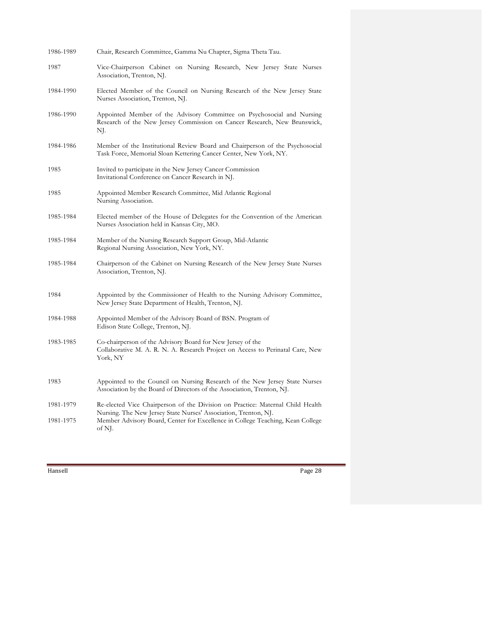| 1986-1989 | Chair, Research Committee, Gamma Nu Chapter, Sigma Theta Tau.                                                                                               |
|-----------|-------------------------------------------------------------------------------------------------------------------------------------------------------------|
| 1987      | Vice-Chairperson Cabinet on Nursing Research, New Jersey State Nurses<br>Association, Trenton, NJ.                                                          |
| 1984-1990 | Elected Member of the Council on Nursing Research of the New Jersey State<br>Nurses Association, Trenton, NJ.                                               |
| 1986-1990 | Appointed Member of the Advisory Committee on Psychosocial and Nursing<br>Research of the New Jersey Commission on Cancer Research, New Brunswick,<br>NJ.   |
| 1984-1986 | Member of the Institutional Review Board and Chairperson of the Psychosocial<br>Task Force, Memorial Sloan Kettering Cancer Center, New York, NY.           |
| 1985      | Invited to participate in the New Jersey Cancer Commission<br>Invitational Conference on Cancer Research in NJ.                                             |
| 1985      | Appointed Member Research Committee, Mid Atlantic Regional<br>Nursing Association.                                                                          |
| 1985-1984 | Elected member of the House of Delegates for the Convention of the American<br>Nurses Association held in Kansas City, MO.                                  |
| 1985-1984 | Member of the Nursing Research Support Group, Mid-Atlantic<br>Regional Nursing Association, New York, NY.                                                   |
| 1985-1984 | Chairperson of the Cabinet on Nursing Research of the New Jersey State Nurses<br>Association, Trenton, NJ.                                                  |
| 1984      | Appointed by the Commissioner of Health to the Nursing Advisory Committee,<br>New Jersey State Department of Health, Trenton, NJ.                           |
| 1984-1988 | Appointed Member of the Advisory Board of BSN. Program of<br>Edison State College, Trenton, NJ.                                                             |
| 1983-1985 | Co-chairperson of the Advisory Board for New Jersey of the<br>Collaborative M. A. R. N. A. Research Project on Access to Perinatal Care, New<br>York, NY    |
| 1983      | Appointed to the Council on Nursing Research of the New Jersey State Nurses<br>Association by the Board of Directors of the Association, Trenton, NJ.       |
| 1981-1979 | Re-elected Vice Chairperson of the Division on Practice: Maternal Child Health                                                                              |
| 1981-1975 | Nursing. The New Jersey State Nurses' Association, Trenton, NJ.<br>Member Advisory Board, Center for Excellence in College Teaching, Kean College<br>of NJ. |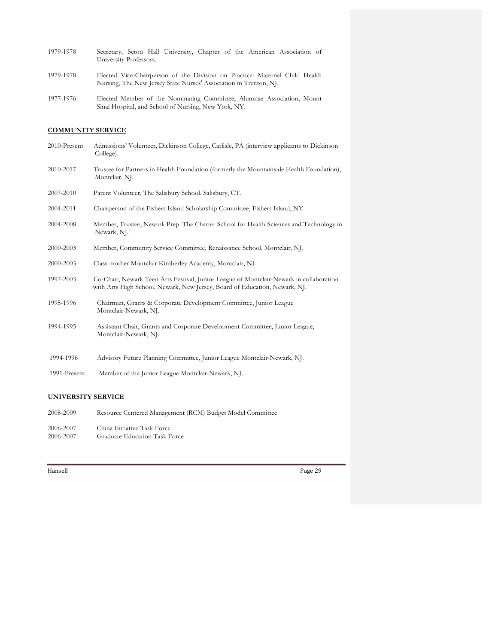| 1979-1978 |                        |  |  |  | Secretary, Seton Hall University, Chapter of the American Association of |  |
|-----------|------------------------|--|--|--|--------------------------------------------------------------------------|--|
|           | University Professors. |  |  |  |                                                                          |  |
|           |                        |  |  |  |                                                                          |  |

- 1979-1978 Elected Vice-Chairperson of the Division on Practice: Maternal Child Health Nursing, The New Jersey State Nurses' Association in Trenton, NJ.
- 1977-1976 Elected Member of the Nominating Committee, Alumnae Association, Mount Sinai Hospital, and School of Nursing, New York, NY.

# **COMMUNITY SERVICE**

| 2010-Present | Admissions' Volunteer, Dickinson College, Carlisle, PA (interview applicants to Dickinson<br>College).                                                                |
|--------------|-----------------------------------------------------------------------------------------------------------------------------------------------------------------------|
| 2010-2017    | Trustee for Partners in Health Foundation (formerly the Mountainside Health Foundation),<br>Montclair, NJ.                                                            |
| 2007-2010    | Parent Volunteer, The Salisbury School, Salisbury, CT.                                                                                                                |
| 2004-2011    | Chairperson of the Fishers Island Scholarship Committee, Fishers Island, NY.                                                                                          |
| 2004-2008    | Member, Trustee, Newark Prep: The Charter School for Health Sciences and Technology in<br>Newark, NJ.                                                                 |
| 2000-2003    | Member, Community Service Committee, Renaissance School, Montclair, NJ.                                                                                               |
| 2000-2003    | Class mother Montclair Kimberley Academy, Montclair, NJ.                                                                                                              |
| 1997-2003    | Co-Chair, Newark Teen Arts Festival, Junior League of Montclair-Newark in collaboration<br>with Arts High School, Newark, New Jersey, Board of Education, Newark, NJ. |
| 1995-1996    | Chairman, Grants & Corporate Development Committee, Junior League<br>Montclair-Newark, NJ.                                                                            |
| 1994-1995    | Assistant Chair, Grants and Corporate Development Committee, Junior League,<br>Montclair-Newark, NJ.                                                                  |
| 1994-1996    | Advisory Future Planning Committee, Junior League Montclair-Newark, NJ.                                                                                               |
| 1991-Present | Member of the Junior League Montclair-Newark, NJ.                                                                                                                     |
|              |                                                                                                                                                                       |

### **UNIVERSITY SERVICE**

| 2008-2009 | Resource Centered Management (RCM) Budget Model Committee |
|-----------|-----------------------------------------------------------|
| 2006-2007 | China Initiative Task Force                               |
| 2006-2007 | Graduate Education Task Force                             |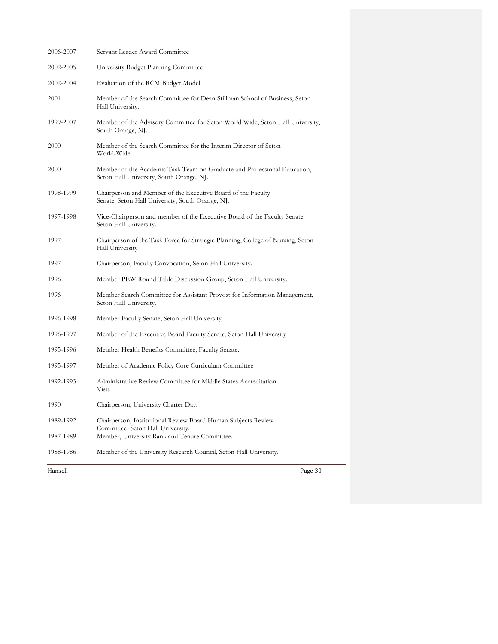| 2006-2007 | Servant Leader Award Committee                                                                                       |
|-----------|----------------------------------------------------------------------------------------------------------------------|
| 2002-2005 | University Budget Planning Committee                                                                                 |
| 2002-2004 | Evaluation of the RCM Budget Model                                                                                   |
| 2001      | Member of the Search Committee for Dean Stillman School of Business, Seton<br>Hall University.                       |
| 1999-2007 | Member of the Advisory Committee for Seton World Wide, Seton Hall University,<br>South Orange, NJ.                   |
| 2000      | Member of the Search Committee for the Interim Director of Seton<br>World-Wide.                                      |
| 2000      | Member of the Academic Task Team on Graduate and Professional Education,<br>Seton Hall University, South Orange, NJ. |
| 1998-1999 | Chairperson and Member of the Executive Board of the Faculty<br>Senate, Seton Hall University, South Orange, NJ.     |
| 1997-1998 | Vice-Chairperson and member of the Executive Board of the Faculty Senate,<br>Seton Hall University.                  |
| 1997      | Chairperson of the Task Force for Strategic Planning, College of Nursing, Seton<br>Hall University                   |
| 1997      | Chairperson, Faculty Convocation, Seton Hall University.                                                             |
| 1996      | Member PEW Round Table Discussion Group, Seton Hall University.                                                      |
| 1996      | Member Search Committee for Assistant Provost for Information Management,<br>Seton Hall University.                  |
| 1996-1998 | Member Faculty Senate, Seton Hall University                                                                         |
| 1996-1997 | Member of the Executive Board Faculty Senate, Seton Hall University                                                  |
| 1995-1996 | Member Health Benefits Committee, Faculty Senate.                                                                    |
| 1995-1997 | Member of Academic Policy Core Curriculum Committee                                                                  |
| 1992-1993 | Administrative Review Committee for Middle States Accreditation<br>Visit.                                            |
| 1990      | Chairperson, University Charter Day.                                                                                 |
| 1989-1992 | Chairperson, Institutional Review Board Human Subjects Review<br>Committee, Seton Hall University.                   |
| 1987-1989 | Member, University Rank and Tenure Committee.                                                                        |
| 1988-1986 | Member of the University Research Council, Seton Hall University.                                                    |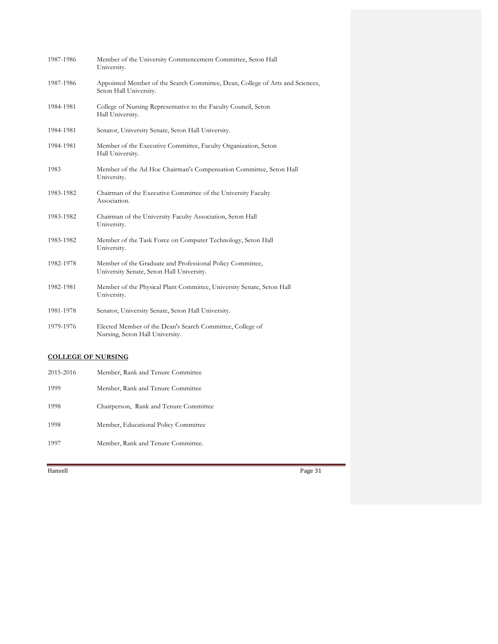| 1987-1986 | Member of the University Commencement Committee, Seton Hall<br>University.                              |
|-----------|---------------------------------------------------------------------------------------------------------|
| 1987-1986 | Appointed Member of the Search Committee, Dean, College of Arts and Sciences,<br>Seton Hall University. |
| 1984-1981 | College of Nursing Representative to the Faculty Council, Seton<br>Hall University.                     |
| 1984-1981 | Senator, University Senate, Seton Hall University.                                                      |
| 1984-1981 | Member of the Executive Committee, Faculty Organization, Seton<br>Hall University.                      |
| 1983      | Member of the Ad Hoc Chairman's Compensation Committee, Seton Hall<br>University.                       |
| 1983-1982 | Chairman of the Executive Committee of the University Faculty<br>Association.                           |
| 1983-1982 | Chairman of the University Faculty Association, Seton Hall<br>University.                               |
| 1983-1982 | Member of the Task Force on Computer Technology, Seton Hall<br>University.                              |
| 1982-1978 | Member of the Graduate and Professional Policy Committee,<br>University Senate, Seton Hall University.  |
| 1982-1981 | Member of the Physical Plant Committee, University Senate, Seton Hall<br>University.                    |
| 1981-1978 | Senator, University Senate, Seton Hall University.                                                      |
| 1979-1976 | Elected Member of the Dean's Search Committee, College of<br>Nursing, Seton Hall University.            |

### **COLLEGE OF NURSING**

| 2015-2016 | Member, Rank and Tenure Committee      |
|-----------|----------------------------------------|
| 1999      | Member, Rank and Tenure Committee      |
| 1998      | Chairperson, Rank and Tenure Committee |
| 1998      | Member, Educational Policy Committee   |
| 1997      | Member, Rank and Tenure Committee.     |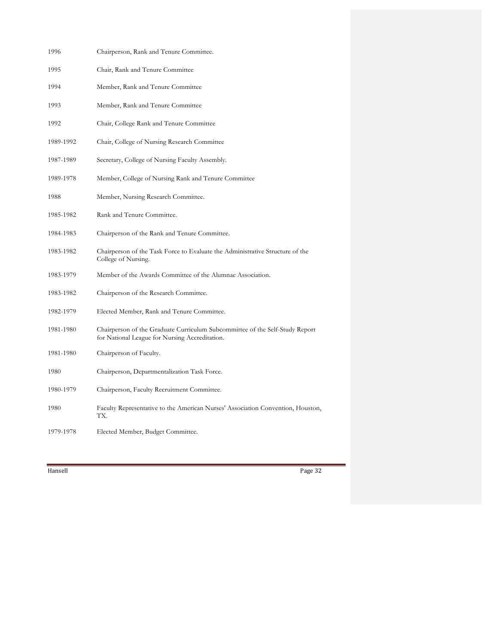| 1996      | Chairperson, Rank and Tenure Committee.                                                                                        |
|-----------|--------------------------------------------------------------------------------------------------------------------------------|
| 1995      | Chair, Rank and Tenure Committee                                                                                               |
| 1994      | Member, Rank and Tenure Committee                                                                                              |
| 1993      | Member, Rank and Tenure Committee                                                                                              |
| 1992      | Chair, College Rank and Tenure Committee                                                                                       |
| 1989-1992 | Chair, College of Nursing Research Committee                                                                                   |
| 1987-1989 | Secretary, College of Nursing Faculty Assembly.                                                                                |
| 1989-1978 | Member, College of Nursing Rank and Tenure Committee                                                                           |
| 1988      | Member, Nursing Research Committee.                                                                                            |
| 1985-1982 | Rank and Tenure Committee.                                                                                                     |
| 1984-1983 | Chairperson of the Rank and Tenure Committee.                                                                                  |
| 1983-1982 | Chairperson of the Task Force to Evaluate the Administrative Structure of the<br>College of Nursing.                           |
| 1983-1979 | Member of the Awards Committee of the Alumnae Association.                                                                     |
| 1983-1982 | Chairperson of the Research Committee.                                                                                         |
| 1982-1979 | Elected Member, Rank and Tenure Committee.                                                                                     |
| 1981-1980 | Chairperson of the Graduate Curriculum Subcommittee of the Self-Study Report<br>for National League for Nursing Accreditation. |
| 1981-1980 | Chairperson of Faculty.                                                                                                        |
| 1980      | Chairperson, Departmentalization Task Force.                                                                                   |
| 1980-1979 | Chairperson, Faculty Recruitment Committee.                                                                                    |
| 1980      | Faculty Representative to the American Nurses' Association Convention, Houston,<br>TX.                                         |
| 1979-1978 | Elected Member, Budget Committee.                                                                                              |